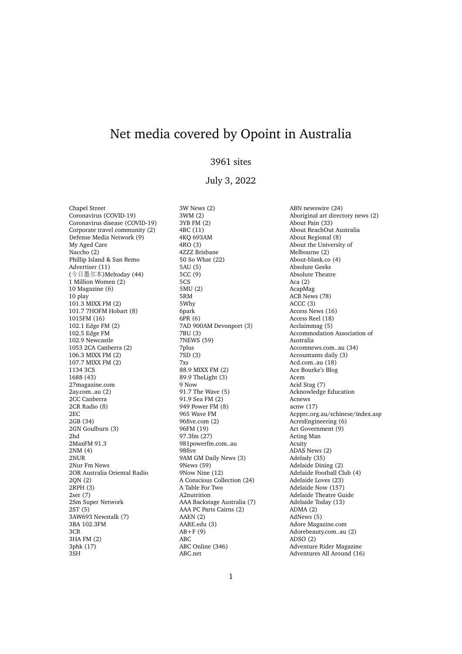# Net media covered by Opoint in Australia

## 3961 sites

## July 3, 2022

Chapel Street Coronavirus (COVID-19) Coronavirus disease (COVID-19) Corporate travel community (2) Defense Media Network (9) My Aged Care Naccho (2) Phillip Island & San Remo Advertiser (11) (今日墨尔本)Meltoday (44) 1 Million Women (2) 10 Magazine (6) 10 play 101.3 MIXX FM (2) 101.7 7HOFM Hobart (8) 1015FM (16) 102.1 Edge FM (2) 102.5 Edge FM 102.9 Newcastle 1053 2CA Canberra (2) 106.3 MIXX FM (2) 107.7 MIXX FM (2) 1134 3CS 1688 (43) 27magazine.com 2ay.com..au (2) 2CC Canberra 2CR Radio (8) 2EC 2GB (34) 2GN Goulburn (3) 2hd 2MaxFM 91.3 2NM (4) 2NUR 2Nur Fm News 2OR Australia Oriental Radio 2QN (2) 2RPH (3) 2ser (7) 2Sm Super Network 2ST (5) 3AW693 Newstalk (7) 3BA 102.3FM 3CR 3HA FM (2) 3phk (17) 3SH

3W News (2) 3WM (2) 3YB FM (2) 4BC (11) 4KQ 693AM 4RO (3) 4ZZZ Brisbane 50 So What (22) 5AU (5) 5CC (9) 5CS 5MU (2) 5RM 5Why 6park 6PR (6) 7AD 900AM Devonport (3) 7BU (3) 7NEWS (59) 7plus 7SD (3) 7xs 88.9 MIXX FM (2) 89.9 TheLight (3) 9 Now 91.7 The Wave (5) 91.9 Sea FM (2) 949 Power FM (8) 965 Wave FM 96five.com (2) 96FM (19) 97.3fm (27) 981powerfm.com..au 98five 9AM GM Daily News (3) 9News (59) 9Now Nine (12) A Conscious Collection (24) A Table For Two A2nutrition AAA Backstage Australia (7) AAA PC Parts Cairns (2) AAEN (2) AARE.edu (3)  $AB+F(9)$ ABC ABC Online (346) ABC.net

ABN newswire (24) Aboriginal art directory news (2) About Pain (33) About ReachOut Australia About Regional (8) About the University of Melbourne (2) About-blank.co (4) Absolute Geeks Absolute Theatre Aca (2) AcapMag ACB News (78) ACCC (3) Access News (16) Access Reel (18) Acclaimmag (5) Accommodation Association of Australia Accomnews.com..au (34) Accountants daily (3) Acd.com..au (18) Ace Bourke's Blog Acem Acid Stag (7) Acknowledge Education Acnews acnw (17) Acpprc.org.au/schinese/index.asp AcresEngineering (6) Act Government (9) Acting Man Acuity ADAS News (2) Adelady (35) Adelaide Dining (2) Adelaide Football Club (4) Adelaide Loves (23) Adelaide Now (157) Adelaide Theatre Guide Adelaide Today (13) ADMA (2) AdNews (5) Adore Magazine.com Adorebeauty.com..au (2) ADSO (2) Adventure Rider Magazine Adventures All Around (16)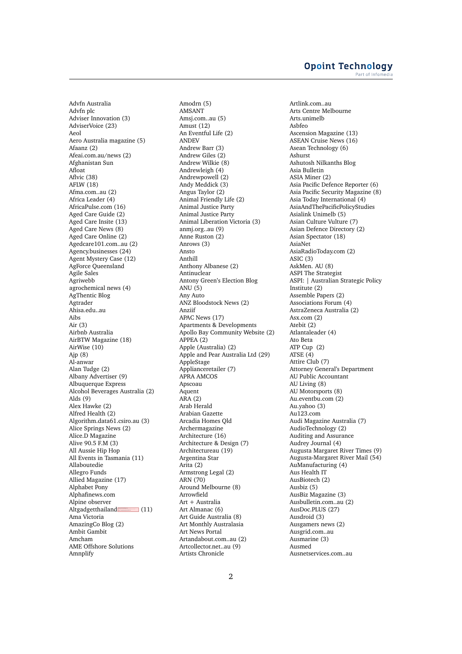Advfn Australia Advfn plc Adviser Innovation (3) AdviserVoice (23) Aeol Aero Australia magazine (5) Afaanz (2) Afeai.com.au/news (2) Afghanistan Sun Afloat Aflvic (38) AFLW (18) Afma.com..au (2) Africa Leader (4) AfricaPulse.com (16) Aged Care Guide (2) Aged Care Insite (13) Aged Care News (8) Aged Care Online (2) Agedcare101.com..au (2) Agency.businesses (24) Agent Mystery Case (12) AgForce Queensland Agile Sales Agriwebb agrochemical news (4) AgThentic Blog Agtrader Ahisa.edu..au Aibs Air (3) Airbnb Australia AirBTW Magazine (18) AirWise (10) Ajp (8) Al-anwar Alan Tudge (2) Albany Advertiser (9) Albuquerque Express Alcohol Beverages Australia (2) Alds (9) Alex Hawke (2) Alfred Health (2) Algorithm.data61.csiro.au (3) Alice Springs News (2) Alice.D Magazine Alive 90.5 F.M (3) All Aussie Hip Hop All Events in Tasmania (11) Allaboutedie Allegro Funds Allied Magazine (17) Alphabet Pony Alphafinews.com Alpine observer Altgadgetthailand **This page contains the following errors:** error on line 8 at column 7: Opening and ending tag mismatch: g line 7 and svg **Below is a rendering of the page up tothefirsterror.** (11) Ama Victoria AmazingCo Blog (2) Ambit Gambit Amcham AME Offshore Solutions Amnplify

Amodrn (5) AMSANT Amsj.com..au (5) Amust (12) An Eventful Life (2) ANDEV Andrew Barr (3) Andrew Giles (2) Andrew Wilkie (8) Andrewleigh (4) Andrewpowell (2) Andy Meddick (3) Angus Taylor (2) Animal Friendly Life (2) Animal Justice Party Animal Justice Party Animal Liberation Victoria (3) anmj.org..au (9) Anne Ruston (2) Anrows (3) Ansto Anthill Anthony Albanese (2) Antinuclear Antony Green's Election Blog ANU $(5)$ Any Auto ANZ Bloodstock News (2) Anziif APAC News (17) Apartments & Developments Apollo Bay Community Website (2) APPEA (2) Apple (Australia) (2) Apple and Pear Australia Ltd (29) AppleStage Applianceretailer (7) APRA AMCOS Apscoau Aquent ARA (2) Arab Herald Arabian Gazette Arcadia Homes Qld Archermagazine Architecture (16) Architecture & Design (7) Architectureau (19) Argentina Star Arita (2) Armstrong Legal (2) ARN (70) Around Melbourne (8) Arrowfield Art + Australia Art Almanac (6) Art Guide Australia (8) Art Monthly Australasia Art News Portal Artandabout.com..au (2) Artcollector.net..au (9) Artists Chronicle

Artlink.com..au Arts Centre Melbourne Arts.unimelb Asbfeo Ascension Magazine (13) ASEAN Cruise News (16) Asean Technology (6) Ashurst Ashutosh Nilkanths Blog Asia Bulletin ASIA Miner (2) Asia Pacific Defence Reporter (6) Asia Pacific Security Magazine (8) Asia Today International (4) AsiaAndThePacificPolicyStudies Asialink Unimelb (5) Asian Culture Vulture (7) Asian Defence Directory (2) Asian Spectator (18) AsiaNet AsiaRadioToday.com (2) ASIC (3) AskMen. AU (8) ASPI The Strategist ASPI: | Australian Strategic Policy Institute (2) Assemble Papers (2) Associations Forum (4) AstraZeneca Australia (2) Asx.com (2) Atebit (2) Atlantaleader (4) Ato Beta ATP Cup (2) ATSE (4) Attire Club (7) Attorney General's Department AU Public Accountant AU Living (8) AU Motorsports (8) Au.eventbu.com (2) Au.yahoo (3) Au123.com Audi Magazine Australia (7) AudioTechnology (2) Auditing and Assurance Audrey Journal (4) Augusta Margaret River Times (9) Augusta-Margaret River Mail (54) AuManufacturing (4) Aus Health IT AusBiotech (2) Ausbiz (5) AusBiz Magazine (3) Ausbulletin.com..au (2) AusDoc.PLUS (27) Ausdroid (3) Ausgamers news (2) Ausgrid.com..au Ausmarine (3) Ausmed Ausnetservices.com..au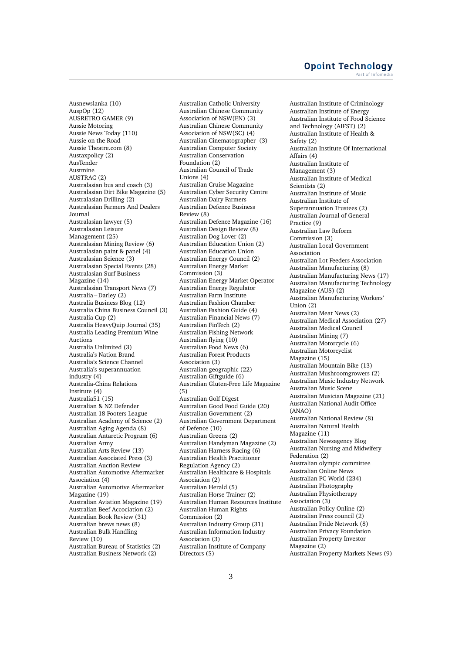Ausnewslanka (10) AuspOp (12) AUSRETRO GAMER (9) Aussie Motoring Aussie News Today (110) Aussie on the Road Aussie Theatre.com (8) Austaxpolicy (2) AusTender Austmine AUSTRAC (2) Australasian bus and coach (3) Australasian Dirt Bike Magazine (5) Australasian Drilling (2) Australasian Farmers And Dealers Journal Australasian lawyer (5) Australasian Leisure Management (25) Australasian Mining Review (6) Australasian paint & panel (4) Australasian Science (3) Australasian Special Events (28) Australasian Surf Business Magazine (14) Australasian Transport News (7) Australia – Darley (2) Australia Business Blog (12) Australia China Business Council (3) Australia Cup (2) Australia HeavyQuip Journal (35) Australia Leading Premium Wine Auctions Australia Unlimited (3) Australia's Nation Brand Australia's Science Channel Australia's superannuation industry (4) Australia-China Relations Institute (4) Australia51 (15) Australian & NZ Defender Australian 18 Footers League Australian Academy of Science (2) Australian Aging Agenda (8) Australian Antarctic Program (6) Australian Army Australian Arts Review (13) Australian Associated Press (3) Australian Auction Review Australian Automotive Aftermarket Association (4) Australian Automotive Aftermarket Magazine (19) Australian Aviation Magazine (19) Australian Beef Accociation (2) Australian Book Review (31) Australian brews news (8) Australian Bulk Handling Review (10) Australian Bureau of Statistics (2) Australian Business Network (2)

Australian Catholic University Australian Chinese Community Association of NSW(EN) (3) Australian Chinese Community Association of NSW(SC) (4) Australian Cinematographer (3) Australian Computer Society Australian Conservation Foundation (2) Australian Council of Trade Unions (4) Australian Cruise Magazine Australian Cyber Security Centre Australian Dairy Farmers Australian Defence Business Review (8) Australian Defence Magazine (16) Australian Design Review (8) Australian Dog Lover (2) Australian Education Union (2) Australian Education Union Australian Energy Council (2) Australian Energy Market Commission (3) Australian Energy Market Operator Australian Energy Regulator Australian Farm Institute Australian Fashion Chamber Australian Fashion Guide (4) Australian Financial News (7) Australian FinTech (2) Australian Fishing Network Australian flying (10) Australian Food News (6) Australian Forest Products Association (3) Australian geographic (22) Australian Giftguide (6) Australian Gluten-Free Life Magazine (5) Australian Golf Digest Australian Good Food Guide (20) Australian Government (2) Australian Government Department of Defence (10) Australian Greens (2) Australian Handyman Magazine (2) Australian Harness Racing (6) Australian Health Practitioner Regulation Agency (2) Australian Healthcare & Hospitals Association (2) Australian Herald (5) Australian Horse Trainer (2) Australian Human Resources Institute Australian Human Rights Commission (2) Australian Industry Group (31) Australian Information Industry Association (3) Australian Institute of Company Directors (5)

Australian Institute of Criminology Australian Institute of Energy Australian Institute of Food Science and Technology (AIFST) (2) Australian Institute of Health & Safety (2) Australian Institute Of International Affairs (4) Australian Institute of Management (3) Australian Institute of Medical Scientists (2) Australian Institute of Music Australian Institute of Superannuation Trustees (2) Australian Journal of General Practice (9) Australian Law Reform Commission (3) Australian Local Government Association Australian Lot Feeders Association Australian Manufacturing (8) Australian Manufacturing News (17) Australian Manufacturing Technology Magazine (AUS) (2) Australian Manufacturing Workers' Union (2) Australian Meat News (2) Australian Medical Association (27) Australian Medical Council Australian Mining (7) Australian Motorcycle (6) Australian Motorcyclist Magazine (15) Australian Mountain Bike (13) Australian Mushroomgrowers (2) Australian Music Industry Network Australian Music Scene Australian Musician Magazine (21) Australian National Audit Office (ANAO) Australian National Review (8) Australian Natural Health Magazine (11) Australian Newsagency Blog Australian Nursing and Midwifery Federation (2) Australian olympic committee Australian Online News Australian PC World (234) Australian Photography Australian Physiotherapy Association (3) Australian Policy Online (2) Australian Press council (2) Australian Pride Network (8) Australian Privacy Foundation Australian Property Investor Magazine (2) Australian Property Markets News (9)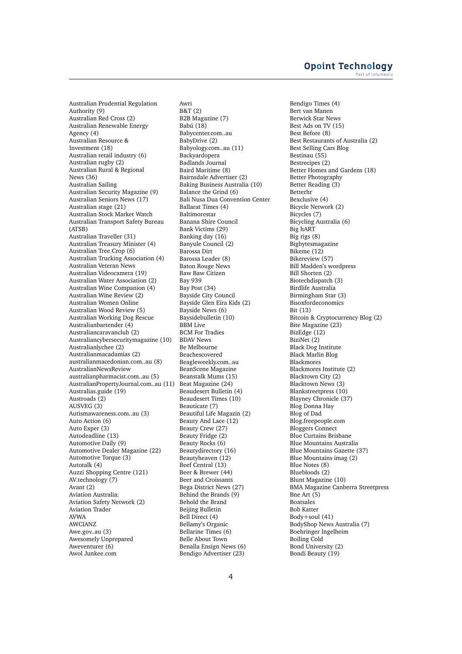### **Opoint Technology** Part of Infomer

Australian Prudential Regulation Authority (9) Australian Red Cross (2) Australian Renewable Energy Agency (4) Australian Resource & Investment (18) Australian retail industry (6) Australian rugby (2) Australian Rural & Regional News (36) Australian Sailing Australian Security Magazine (9) Australian Seniors News (17) Australian stage (21) Australian Stock Market Watch Australian Transport Safety Bureau (ATSB) Australian Traveller (31) Australian Treasury Minister (4) Australian Tree Crop (6) Australian Trucking Association (4) Australian Veteran News Australian Videocamera (19) Australian Water Association (2) Australian Wine Companion (4) Australian Wine Review (2) Australian Women Online Australian Wood Review (5) Australian Working Dog Rescue Australianbartender (4) Australiancaravanclub (2) Australiancybersecuritymagazine (10) Australianlychee (2) Australianmacadamias (2) australianmacedonian.com..au (8) AustralianNewsReview australianpharmacist.com..au (5) AustralianPropertyJournal.com..au (11) Australias.guide (19) Austroads (2) AUSVEG (3) Autismawareness.com..au (3) Auto Action (6) Auto Exper (3) Autodeadline (13) Automotive Daily (9) Automotive Dealer Magazine (22) Automotive Torque (3) Autotalk (4) Auzzi Shopping Centre (121) AV.technology (7) Avant (2) Aviation Australia: Aviation Safety Network (2) Aviation Trader AVWA AWCIANZ Awe.gov..au (3) Awesomely Unprepared Aweventurer (6) Awol Junkee.com

Awri B&T (2) B2B Magazine (7) Babú (18) Babycenter.com..au BabyDrive (2) Babyology.com..au (11) Backyardopera Badlands Journal Baird Maritime (8) Bairnsdale Advertiser (2) Baking Business Australia (10) Balance the Grind (6) Bali Nusa Dua Convention Center Ballarat Times (4) Baltimorestar Banana Shire Council Bank Victims (29) Banking day (16) Banyule Council (2) Barossa Dirt Barossa Leader (8) Baton Rouge News Baw Baw Citizen Bay 939 Bay Post (34) Bayside City Council Bayside Glen Eira Kids (2) Bayside News (6) Baysidebulletin (10) BBM Live BCM For Tradies BDAV News Be Melbourne Beachescovered Beagleweekly.com..au BeanScene Magazine Beanstalk Mums (15) Beat Magazine (24) Beaudesert Bulletin (4) Beaudesert Times (10) Beauticate (7) Beautiful Life Magazin (2) Beauty And Lace (12) Beauty Crew (27) Beauty Fridge (2) Beauty Rocks (6) Beautydirectory (16) Beautyheaven (12) Beef Central (13) Beer & Brewer (44) Beer and Croissants Bega District News (27) Behind the Brands (9) Behold the Brand Beijing Bulletin Bell Direct (4) Bellamy's Organic Bellarine Times (6) Belle About Town Benalla Ensign News (6) Bendigo Advertiser (23)

Bendigo Times (4) Bert van Manen Berwick Star News Best Ads on TV (15) Best Before (8) Best Restaurants of Australia (2) Best Selling Cars Blog Bestinau (55) Bestrecipes (2) Better Homes and Gardens (18) Better Photography Better Reading (3) Betterhr Bexclusive (4) Bicycle Network (2) Bicycles (7) Bicycling Australia (6) Big hART Big rigs (8) Bigbytesmagazine Bikeme (12) Bikereview (57) Bill Madden's wordpress Bill Shorten (2) Biotechdispatch (3) Birdlife Australia Birmingham Star (3) Bisoxfordeconomics Bit (13) Bitcoin & Cryptocurrency Blog (2) Bite Magazine (23) BizEdge (12) BiziNet (2) Black Dog Institute Black Marlin Blog Blackmores Blackmores Institute (2) Blacktown City (2) Blacktown News (3) Blankstreetpress (10) Blayney Chronicle (37) Blog Donna Hay Blog of Dad Blog.freepeople.com Bloggers Connect Blue Curtains Brisbane Blue Mountains Australia Blue Mountains Gazette (37) Blue Mountains imag (2) Blue Notes (8) Bluebloods (2) Blunt Magazine (10) BMA Magazine Canberra Streetpress Bne Art (5) Boatsales Bob Katter Body+soul (41) BodyShop News Australia (7) Boehringer Ingelheim Boiling Cold Bond University (2) Bondi Beauty (19)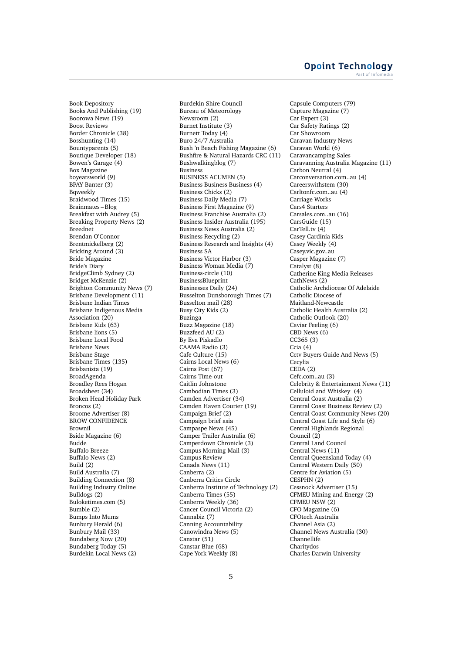Book Depository Books And Publishing (19) Boorowa News (19) Boost Reviews Border Chronicle (38) Bosshunting (14) Bountyparents (5) Boutique Developer (18) Bowen's Garage (4) Box Magazine boyeatsworld (9) BPAY Banter (3) Bqweekly Braidwood Times (15) Brainmates – Blog Breakfast with Audrey (5) Breaking Property News (2) Breednet Brendan O'Connor Brentmickelberg (2) Bricking Around (3) Bride Magazine Bride's Diary BridgeClimb Sydney (2) Bridget McKenzie (2) Brighton Community News (7) Brisbane Development (11) Brisbane Indian Times Brisbane Indigenous Media Association (20) Brisbane Kids (63) Brisbane lions (5) Brisbane Local Food Brisbane News Brisbane Stage Brisbane Times (135) Brisbanista (19) BroadAgenda Broadley Rees Hogan Broadsheet (34) Broken Head Holiday Park Broncos (2) Broome Advertiser (8) BROW CONFIDENCE Brownil Bside Magazine (6) Budde Buffalo Breeze Buffalo News (2) Build (2) Build Australia (7) Building Connection (8) Building Industry Online Bulldogs (2) Buloketimes.com (5) Bumble (2) Bumps Into Mums Bunbury Herald (6) Bunbury Mail (33) Bundaberg Now (20) Bundaberg Today (5) Burdekin Local News (2)

Burdekin Shire Council Bureau of Meteorology Newsroom (2) Burnet Institute (3) Burnett Today (4) Buro 24/7 Australia Bush 'n Beach Fishing Magazine (6) Bushfire & Natural Hazards CRC (11) Bushwalkingblog (7) Business BUSINESS ACUMEN (5) Business Business Business (4) Business Chicks (2) Business Daily Media (7) Business First Magazine (9) Business Franchise Australia (2) Business Insider Australia (195) Business News Australia (2) Business Recycling (2) Business Research and Insights (4) Business SA Business Victor Harbor (3) Business Woman Media (7) Business-circle (10) BusinessBlueprint Businesses Daily (24) Busselton Dunsborough Times (7) Busselton mail (28) Busy City Kids (2) Buzinga Buzz Magazine (18) Buzzfeed AU (2) By Eva Piskadlo CAAMA Radio (3) Cafe Culture (15) Cairns Local News (6) Cairns Post (67) Cairns Time-out Caitlin Johnstone Cambodian Times (3) Camden Advertiser (34) Camden Haven Courier (19) Campaign Brief (2) Campaign brief asia Campaspe News (45) Camper Trailer Australia (6) Camperdown Chronicle (3) Campus Morning Mail (3) Campus Review Canada News (11) Canberra (2) Canberra Critics Circle Canberra Institute of Technology (2) Canberra Times (55) Canberra Weekly (36) Cancer Council Victoria (2) Cannabiz (7) Canning Accountability Canowindra News (5) Canstar (51) Canstar Blue (68) Cape York Weekly (8)

Capsule Computers (79) Capture Magazine (7) Car Expert (3) Car Safety Ratings (2) Car Showroom Caravan Industry News Caravan World (6) Caravancamping Sales Caravanning Australia Magazine (11) Carbon Neutral (4) Carconversation.com..au (4) Careerswithstem (30) Carltonfc.com..au (4) Carriage Works Cars4 Starters Carsales.com..au (16) CarsGuide (15) CarTell.tv (4) Casey Cardinia Kids Casey Weekly (4) Casey.vic.gov..au Casper Magazine (7) Catalyst (8) Catherine King Media Releases CathNews (2) Catholic Archdiocese Of Adelaide Catholic Diocese of Maitland-Newcastle Catholic Health Australia (2) Catholic Outlook (20) Caviar Feeling (6) CBD News (6) CC365 (3) Ccia (4) Cctv Buyers Guide And News (5) Cecylia  $CEDA(2)$ Cefc.com..au (3) Celebrity & Entertainment News (11) Celluloid and Whiskey (4) Central Coast Australia (2) Central Coast Business Review (2) Central Coast Community News (20) Central Coast Life and Style (6) Central Highlands Regional Council (2) Central Land Council Central News (11) Central Queensland Today (4) Central Western Daily (50) Centre for Aviation (5) CESPHN (2) Cessnock Advertiser (15) CFMEU Mining and Energy (2) CFMEU NSW (2) CFO Magazine (6) CFOtech Australia Channel Asia (2) Channel News Australia (30) Channellife Charitydos Charles Darwin University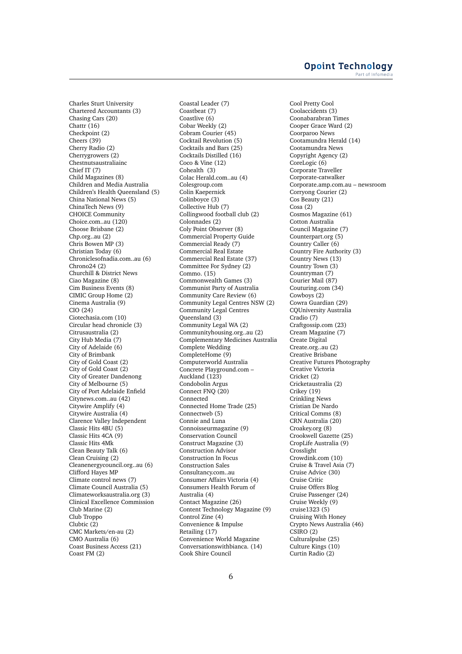Charles Sturt University Chartered Accountants (3) Chasing Cars (20) Chattr (16) Checkpoint (2) Cheers (39) Cherry Radio (2) Cherrygrowers (2) Chestnutsaustraliainc Chief IT (7) Child Magazines (8) Children and Media Australia Children's Health Queensland (5) China National News (5) ChinaTech News (9) CHOICE Community Choice.com..au (120) Choose Brisbane (2) Chp.org..au (2) Chris Bowen MP (3) Christian Today (6) Chroniclesofnadia.com..au (6) Chrono24 (2) Churchill & District News Ciao Magazine (8) Cim Business Events (8) CIMIC Group Home (2) Cinema Australia (9) CIO (24) Ciotechasia.com (10) Circular head chronicle (3) Citrusaustralia (2) City Hub Media (7) City of Adelaide (6) City of Brimbank City of Gold Coast (2) City of Gold Coast (2) City of Greater Dandenong City of Melbourne (5) City of Port Adelaide Enfield Citynews.com..au (42) Citywire Amplify (4) Citywire Australia (4) Clarence Valley Independent Classic Hits 4BU (5) Classic Hits 4CA (9) Classic Hits 4Mk Clean Beauty Talk (6) Clean Cruising (2) Cleanenergycouncil.org..au (6) Clifford Hayes MP Climate control news (7) Climate Council Australia (5) Climateworksaustralia.org (3) Clinical Excellence Commission Club Marine (2) Club Troppo Clubtic (2) CMC Markets/en-au (2) CMO Australia (6) Coast Business Access (21) Coast FM (2)

Coastal Leader (7) Coastbeat (7) Coastlive (6) Cobar Weekly (2) Cobram Courier (45) Cocktail Revolution (5) Cocktails and Bars (25) Cocktails Distilled (16) Coco & Vine (12) Cohealth (3) Colac Herald.com..au (4) Colesgroup.com Colin Kaepernick Colinboyce (3) Collective Hub (7) Collingwood football club (2) Colonnades (2) Coly Point Observer (8) Commercial Property Guide Commercial Ready (7) Commercial Real Estate Commercial Real Estate (37) Committee For Sydney (2) Commo. (15) Commonwealth Games (3) Communist Party of Australia Community Care Review (6) Community Legal Centres NSW (2) Community Legal Centres Queensland (3) Community Legal WA (2) Communityhousing.org..au (2) Complementary Medicines Australia Complete Wedding CompleteHome (9) Computerworld Australia Concrete Playground.com – Auckland (123) Condobolin Argus Connect FNQ (20) Connected Connected Home Trade (25) Connectweb (5) Connie and Luna Connoisseurmagazine (9) Conservation Council Construct Magazine (3) Construction Advisor Construction In Focus Construction Sales Consultancy.com..au Consumer Affairs Victoria (4) Consumers Health Forum of Australia (4) Contact Magazine (26) Content Technology Magazine (9) Control Zine (4) Convenience & Impulse Retailing (17) Convenience World Magazine Conversationswithbianca. (14) Cook Shire Council

Cool Pretty Cool Coolaccidents (3) Coonabarabran Times Cooper Grace Ward (2) Coorparoo News Cootamundra Herald (14) Cootamundra News Copyright Agency (2) CoreLogic (6) Corporate Traveller Corporate-catwalker Corporate.amp.com.au – newsroom Corryong Courier (2) Cos Beauty (21) Cosa (2) Cosmos Magazine (61) Cotton Australia Council Magazine (7) Counterpart.org (5) Country Caller (6) Country Fire Authority (3) Country News (13) Country Town (3) Countryman (7) Courier Mail (87) Couturing.com (34) Cowboys (2) Cowra Guardian (29) CQUniversity Australia Cradio (7) Craftgossip.com (23) Cream Magazine (7) Create Digital Create.org..au (2) Creative Brisbane Creative Futures Photography Creative Victoria Cricket (2) Cricketaustralia (2) Crikey (19) Crinkling News Cristian De Nardo Critical Comms (8) CRN Australia (20) Croakey.org (8) Crookwell Gazette (25) CropLife Australia (9) Crosslight Crowdink.com (10) Cruise & Travel Asia (7) Cruise Advice (30) Cruise Critic Cruise Offers Blog Cruise Passenger (24) Cruise Weekly (9) cruise1323 (5) Cruising With Honey Crypto News Australia (46) CSIRO (2) Culturalpulse (25) Culture Kings (10) Curtin Radio (2)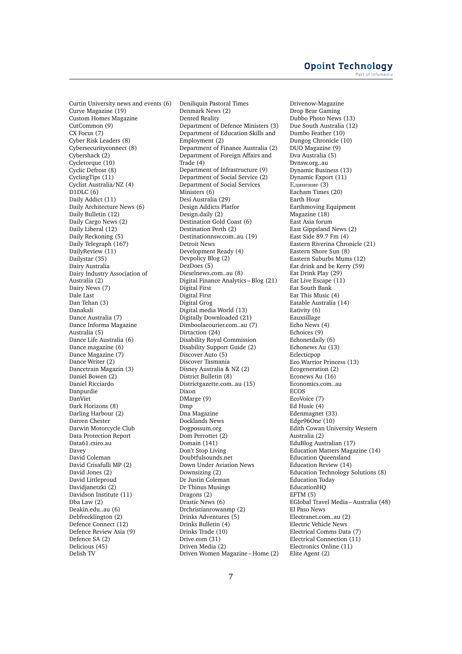Curtin University news and events (6) Curve Magazine (19) Custom Homes Magazine CutCommon (9) CX Focus (7) Cyber Risk Leaders (8) Cybersecurityconnect (8) Cybershack (2) Cycletorque (10) Cyclic Defrost (8) CyclingTips (11) Cyclist Australia/NZ (4)  $D1DLC(6)$ Daily Addict (11) Daily Architecture News (6) Daily Bulletin (12) Daily Cargo News (2) Daily Liberal (12) Daily Reckoning (5) Daily Telegraph (167) DailyReview (11) Dailystar (35) Dairy Australia Dairy Industry Association of Australia (2) Dairy News (7) Dale Last Dan Tehan (3) Danakali Dance Australia (7) Dance Informa Magazine Australia (5) Dance Life Australia (6) Dance magazine (6) Dance Magazine (7) Dance Writer (2) Dancetrain Magazin (3) Daniel Bowen (2) Daniel Ricciardo Danpurdie DanViet Dark Horizons (8) Darling Harbour (2) Darren Chester Darwin Motorcycle Club Data Protection Report Data61.csiro.au Davey David Coleman David Crisafulli MP (2) David Jones (2) David Littleproud Davidjanetzki (2) Davidson Institute (11) Dba Law (2) Deakin.edu..au (6) Debfrecklington (2) Defence Connect (12) Defence Review Asia (9) Defence SA (2) Delicious (45) Delish TV

Deniliquin Pastoral Times Denmark News (2) Dented Reality Department of Defence Ministers (3) Department of Education Skills and Employment (2) Department of Finance Australia (2) Department of Foreign Affairs and Trade (4) Department of Infrastructure (9) Department of Social Service (2) Department of Social Services Ministers (6) Desi Australia (29) Design Addicts Platfor Design.daily (2) Destination Gold Coast (6) Destination Perth (2) Destinationnsw.com..au (19) Detroit News Development Ready (4) Devpolicy Blog (2) DezDoes (5) Dieselnews.com..au (8) Digital Finance Analytics – Blog (21) Digital First Digital First Digital Grog Digital media World (13) Digitally Downloaded (21) Dimboolacourier.com..au (7) Dirtaction (24) Disability Royal Commission Disability Support Guide (2) Discover Auto (5) Discover Tasmania Disney Australia & NZ (2) District Bulletin (8) Districtgazette.com..au (15) Dixon DMarge (9) Dmp Dna Magazine Docklands News Dogpossum.org Dom Perrottet (2) Domain (141) Don't Stop Living Doubtfulsounds.net Down Under Aviation News Downsizing (2) Dr Justin Coleman Dr Thinus Musings Dragons (2) Drastic News (6) Drchristianrowanmp (2) Drinks Adventures (5) Drinks Bulletin (4) Drinks Trade (10) Drive.com (31) Driven Media (2) Driven Women Magazine – Home (2) Drivenow-Magazine Drop Bear Gaming Dubbo Photo News (13) Due South Australia (12) Dumbo Feather (10) Dungog Chronicle (10) DUO Magazine (9) Dva Australia (5) Dvnsw.org..au Dynamic Business (13) Dynamic Export (11) Единение (3) Eacham Times (20) Earth Hour Earthmoving Equipment Magazine (18) East Asia forum East Gippsland News (2) East Side 89.7 Fm (4) Eastern Riverina Chronicle (21) Eastern Shore Sun (8) Eastern Suburbs Mums (12) Eat drink and be Kerry (59) Eat Drink Play (29) Eat Live Escape (11) Eat South Bank Eat This Music (4) Eatable Australia (14) Eativity (6) Eauxsillage Echo News (4) Echoices (9) Echonetdaily (6) Echonews Au (13) Eclecticpop Eco Warrior Princess (13) Ecogeneration (2) Econews Au (16) Economics.com..au ECOS EcoVoice (7) Ed Husic (4) Edenmagnet (33) Edge96One (10) Edith Cowan University Western Australia (2) EduBlog Australian (17) Education Matters Magazine (14) Education Queensland Education Review (14) Education Technology Solutions (8) Education Today EducationHQ EFTM (5) EGlobal Travel Media – Australia (48) El Paso News Electranet.com..au (2) Electric Vehicle News Electrical Comms Data (7) Electrical Connection (11) Electronics Online (11) Elite Agent (2)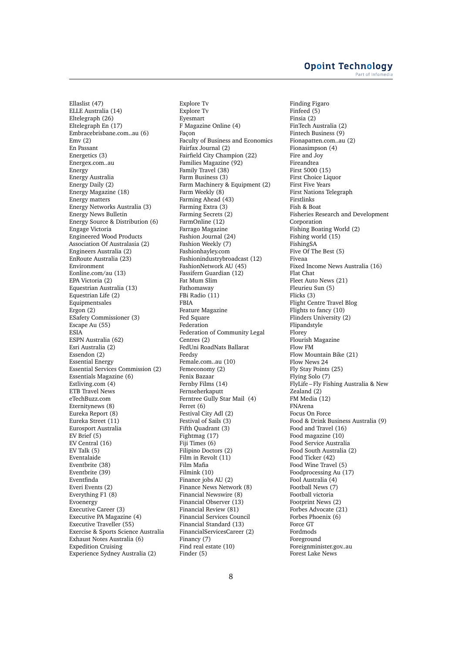### **Opoint Technology** Part of Infomed

Ellaslist (47) ELLE Australia (14) Eltelegraph (26) Eltelegraph En (17) Embracebrisbane.com..au (6)  $Emv(2)$ En Passant Energetics (3) Energex.com..au Energy Energy Australia Energy Daily (2) Energy Magazine (18) Energy matters Energy Networks Australia (3) Energy News Bulletin Energy Source & Distribution (6) Engage Victoria Engineered Wood Products Association Of Australasia (2) Engineers Australia (2) EnRoute Australia (23) Environment Eonline.com/au (13) EPA Victoria (2) Equestrian Australia (13) Equestrian Life (2) Equipmentsales Ergon (2) ESafety Commissioner (3) Escape Au (55) **ESIA** ESPN Australia (62) Esri Australia (2) Essendon (2) Essential Energy Essential Services Commission (2) Essentials Magazine (6) Estliving.com (4) ETB Travel News eTechBuzz.com Eternitynews (8) Eureka Report (8) Eureka Street (11) Eurosport Australia EV Brief (5) EV Central (16) EV Talk (5) Eventalaide Eventbrite (38) Eventbrite (39) Eventfinda Everi Events (2) Everything F1 (8) Evoenergy Executive Career (3) Executive PA Magazine (4) Executive Traveller (55) Exercise & Sports Science Australia Exhaust Notes Australia (6) Expedition Cruising Experience Sydney Australia (2)

Explore Tv Explore Tv Eyesmart F Magazine Online (4) Facon Faculty of Business and Economics Fairfax Journal (2) Fairfield City Champion (22) Families Magazine (92) Family Travel (38) Farm Business (3) Farm Machinery & Equipment (2) Farm Weekly (8) Farming Ahead (43) Farming Extra (3) Farming Secrets (2) FarmOnline (12) Farrago Magazine Fashion Journal (24) Fashion Weekly (7) Fashionhayley.com Fashionindustrybroadcast (12) FashionNetwork AU (45) Fassifern Guardian (12) Fat Mum Slim Fathomaway FBi Radio (11) FBIA Feature Magazine Fed Square Federation Federation of Community Legal Centres (2) FedUni RoadNats Ballarat Feedsy Female.com..au (10) Femeconomy (2) Fenix Bazaar Fernby Films (14) Fernseherkaputt Ferntree Gully Star Mail (4) Ferret (6) Festival City Adl (2) Festival of Sails (3) Fifth Quadrant (3) Fightmag (17) Fiji Times (6) Filipino Doctors (2) Film in Revolt (11) Film Mafia Filmink (10) Finance jobs AU (2) Finance News Network (8) Financial Newswire (8) Financial Observer (13) Financial Review (81) Financial Services Council Financial Standard (13) FinancialServicesCareer (2) Financy (7) Find real estate (10) Finder (5)

Finding Figaro Finfeed (5) Finsia (2) FinTech Australia (2) Fintech Business (9) Fionapatten.com..au (2) Fionasimpson (4) Fire and Joy Fireandtea First 5000 (15) First Choice Liquor First Five Years First Nations Telegraph Firstlinks Fish & Boat Fisheries Research and Development Corporation Fishing Boating World (2) Fishing world (15) FishingSA Five Of The Best (5) Fiveaa Fixed Income News Australia (16) Flat Chat Fleet Auto News (21) Fleurieu Sun (5) Flicks (3) Flight Centre Travel Blog Flights to fancy (10) Flinders University (2) Flipandstyle Florey Flourish Magazine Flow FM Flow Mountain Bike (21) Flow News 24 Fly Stay Points (25) Flying Solo (7) FlyLife – Fly Fishing Australia & New Zealand (2) FM Media (12) FNArena Focus On Force Food & Drink Business Australia (9) Food and Travel (16) Food magazine (10) Food Service Australia Food South Australia (2) Food Ticker (42) Food Wine Travel (5) Foodprocessing Au (17) Fool Australia (4) Football News (7) Football victoria Footprint News (2) Forbes Advocate (21) Forbes Phoenix (6) Force GT Fordmods Foreground Foreignminister.gov..au Forest Lake News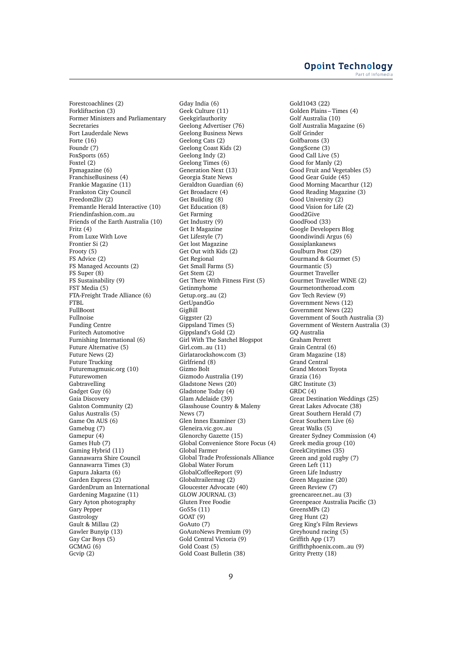Forestcoachlines (2) Forkliftaction (3) Former Ministers and Parliamentary Secretaries Fort Lauderdale News Forte (16) Foundr (7) FoxSports (65) Foxtel (2) Fpmagazine (6) FranchiseBusiness (4) Frankie Magazine (11) Frankston City Council Freedom2liv (2) Fremantle Herald Interactive (10) Friendinfashion.com..au Friends of the Earth Australia (10) Fritz (4) From Luxe With Love Frontier Si (2) Frooty (5) FS Advice (2) FS Managed Accounts (2) FS Super (8) FS Sustainability (9) FST Media (5) FTA-Freight Trade Alliance (6) FTBL FullBoost Fullnoise Funding Centre Furitech Automotive Furnishing International (6) Future Alternative (5) Future News (2) Future Trucking Futuremagmusic.org (10) Futurewomen Gabtravelling Gadget Guy (6) Gaia Discovery Galston Community (2) Galus Australis (5) Game On AUS (6) Gamebug (7) Gamepur (4) Games Hub (7) Gaming Hybrid (11) Gannawarra Shire Council Gannawarra Times (3) Gapura Jakarta (6) Garden Express (2) GardenDrum an International Gardening Magazine (11) Gary Ayton photography Gary Pepper **Gastrology** Gault & Millau (2) Gawler Bunyip (13) Gay Car Boys (5) GCMAG (6) Gcvip (2)

Gday India (6) Geek Culture (11) Geekgirlauthority Geelong Advertiser (76) Geelong Business News Geelong Cats (2) Geelong Coast Kids (2) Geelong Indy (2) Geelong Times (6) Generation Next (13) Georgia State News Geraldton Guardian (6) Get Broadacre (4) Get Building (8) Get Education (8) Get Farming Get Industry (9) Get It Magazine Get Lifestyle (7) Get lost Magazine Get Out with Kids (2) Get Regional Get Small Farms (5) Get Stem (2) Get There With Fitness First (5) Getinmyhome Getup.org..au (2) GetUpandGo GigBill Giggster (2) Gippsland Times (5) Gippsland's Gold (2) Girl With The Satchel Blogspot Girl.com..au (11) Girlatarockshow.com (3) Girlfriend (8) Gizmo Bolt Gizmodo Australia (19) Gladstone News (20) Gladstone Today (4) Glam Adelaide (39) Glasshouse Country & Maleny News (7) Glen Innes Examiner (3) Gleneira.vic.gov..au Glenorchy Gazette (15) Global Convenience Store Focus (4) Global Farmer Global Trade Professionals Alliance Global Water Forum GlobalCoffeeReport (9) Globaltrailermag (2) Gloucester Advocate (40) GLOW JOURNAL (3) Gluten Free Foodie Go55s (11) GOAT (9) GoAuto (7) GoAutoNews Premium (9) Gold Central Victoria (9) Gold Coast (5) Gold Coast Bulletin (38)

Gold1043 (22) Golden Plains – Times (4) Golf Australia (10) Golf Australia Magazine (6) Golf Grinder Golfbarons (3) GongScene (3) Good Call Live (5) Good for Manly (2) Good Fruit and Vegetables (5) Good Gear Guide (45) Good Morning Macarthur (12) Good Reading Magazine (3) Good University (2) Good Vision for Life (2) Good2Give GoodFood (33) Google Developers Blog Goondiwindi Argus (6) Gossiplankanews Goulburn Post (29) Gourmand & Gourmet (5) Gourmantic (5) Gourmet Traveller Gourmet Traveller WINE (2) Gourmetontheroad.com Gov Tech Review (9) Government News (12) Government News (22) Government of South Australia (3) Government of Western Australia (3) GQ Australia Graham Perrett Grain Central (6) Gram Magazine (18) Grand Central Grand Motors Toyota Grazia (16) GRC Institute (3) GRDC (4) Great Destination Weddings (25) Great Lakes Advocate (38) Great Southern Herald (7) Great Southern Live (6) Great Walks (5) Greater Sydney Commission (4) Greek media group (10) GreekCitytimes (35) Green and gold rugby (7) Green Left (11) Green Life Industry Green Magazine (20) Green Review (7) greencareer.net..au (3) Greenpeace Australia Pacific (3) GreensMPs (2) Greg Hunt (2) Greg King's Film Reviews Greyhound racing (5) Griffith App (17) Griffithphoenix.com..au (9) Gritty Pretty (18)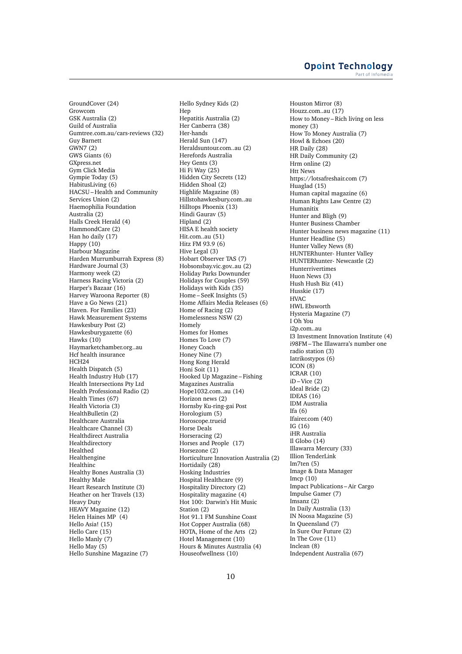GroundCover (24) Growcom GSK Australia (2) Guild of Australia Gumtree.com.au/cars-reviews (32) Guy Barnett GWN7 (2) GWS Giants (6) GXpress.net Gym Click Media Gympie Today (5) HabitusLiving (6) HACSU – Health and Community Services Union (2) Haemophilia Foundation Australia (2) Halls Creek Herald (4) HammondCare (2) Han ho daily (17) Happy (10) Harbour Magazine Harden Murrumburrah Express (8) Hardware Journal (3) Harmony week (2) Harness Racing Victoria (2) Harper's Bazaar (16) Harvey Waroona Reporter (8) Have a Go News (21) Haven. For Families (23) Hawk Measurement Systems Hawkesbury Post (2) Hawkesburygazette (6) Hawks (10) Haymarketchamber.org..au Hcf health insurance HCH<sub>24</sub> Health Dispatch (5) Health Industry Hub (17) Health Intersections Pty Ltd Health Professional Radio (2) Health Times (67) Health Victoria (3) HealthBulletin (2) Healthcare Australia Healthcare Channel (3) Healthdirect Australia Healthdirectory Healthed Healthengine Healthinc Healthy Bones Australia (3) Healthy Male Heart Research Institute (3) Heather on her Travels (13) Heavy Duty HEAVY Magazine (12) Helen Haines MP (4) Hello Asia! (15) Hello Care (15) Hello Manly (7) Hello May (5) Hello Sunshine Magazine (7)

Hello Sydney Kids (2) Hep Hepatitis Australia (2) Her Canberra (38) Her-hands Herald Sun (147) Heraldsuntour.com..au (2) Herefords Australia Hey Gents (3) Hi Fi Way (25) Hidden City Secrets (12) Hidden Shoal (2) Highlife Magazine (8) Hillstohawkesbury.com..au Hilltops Phoenix (13) Hindi Gaurav (5) Hipland (2) HISA E health society Hit.com..au (51) Hitz FM 93.9 (6) Hive Legal (3) Hobart Observer TAS (7) Hobsonsbay.vic.gov..au (2) Holiday Parks Downunder Holidays for Couples (59) Holidays with Kids (35) Home – SeeK Insights (5) Home Affairs Media Releases (6) Home of Racing (2) Homelessness NSW (2) Homely Homes for Homes Homes To Love (7) Honey Coach Honey Nine (7) Hong Kong Herald Honi Soit (11) Hooked Up Magazine – Fishing Magazines Australia Hope1032.com..au (14) Horizon news (2) Hornsby Ku-ring-gai Post Horologium (5) Horoscope.trueid Horse Deals Horseracing (2) Horses and People (17) Horsezone (2) Horticulture Innovation Australia (2) Hortidaily (28) Hosking Industries Hospital Healthcare (9) Hospitality Directory (2) Hospitality magazine (4) Hot 100: Darwin's Hit Music Station (2) Hot 91.1 FM Sunshine Coast Hot Copper Australia (68) HOTA, Home of the Arts (2) Hotel Management (10) Hours & Minutes Australia (4) Houseofwellness (10)

Houston Mirror (8) Houzz.com..au (17) How to Money – Rich living on less money (3) How To Money Australia (7) Howl & Echoes (20) HR Daily (28) HR Daily Community (2) Hrm online (2) Htt News https://lotsafreshair.com (7) Huaglad (15) Human capital magazine (6) Human Rights Law Centre (2) Humanitix Hunter and Bligh (9) Hunter Business Chamber Hunter business news magazine (11) Hunter Headline (5) Hunter Valley News (8) HUNTERhunter- Hunter Valley HUNTERhunter- Newcastle (2) Hunterrivertimes Huon News (3) Hush Hush Biz (41) Husskie (17) HVAC HWL Ebsworth Hysteria Magazine (7) I Oh You i2p.com..au I3 Investment Innovation Institute (4) i98FM – The Illawarra's number one radio station (3) Iatrikostypos (6) ICON (8) ICRAR (10)  $iD - Vice$  (2) Ideal Bride (2) IDEAS (16) IDM Australia Ifa (6) Ifairer.com (40) IG (16) iHR Australia Il Globo (14) Illawarra Mercury (33) Illion TenderLink Im7ten (5) Image & Data Manager Imcp (10) Impact Publications – Air Cargo Impulse Gamer (7) Imsanz (2) In Daily Australia (13) IN Noosa Magazine (5) In Queensland (7) In Sure Our Future (2) In The Cove (11) Inclean (8) Independent Australia (67)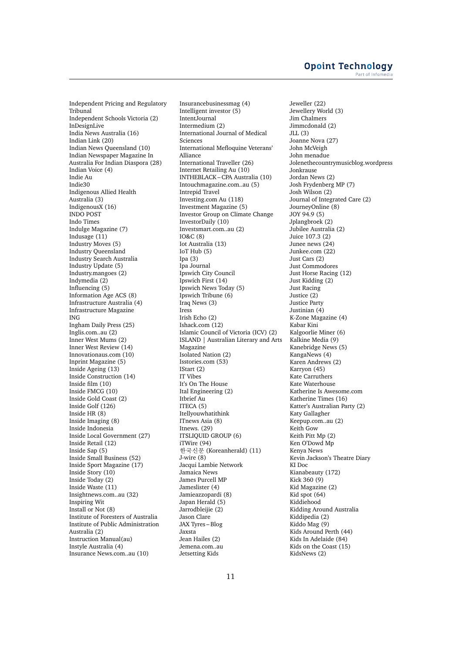Independent Pricing and Regulatory Tribunal Independent Schools Victoria (2) InDesignLive India News Australia (16) Indian Link (20) Indian News Queensland (10) Indian Newspaper Magazine In Australia For Indian Diaspora (28) Indian Voice (4) Indie Au Indie30 Indigenous Allied Health Australia (3) IndigenousX (16) INDO POST Indo Times Indulge Magazine (7) Indusage (11) Industry Moves (5) Industry Queensland Industry Search Australia Industry Update (5) Industry.mangoes (2) Indymedia (2) Influencing (5) Information Age ACS (8) Infrastructure Australia (4) Infrastructure Magazine ING Ingham Daily Press (25) Inglis.com..au (2) Inner West Mums (2) Inner West Review (14) Innovationaus.com (10) Inprint Magazine (5) Inside Ageing (13) Inside Construction (14) Inside film (10) Inside FMCG (10) Inside Gold Coast (2) Inside Golf (126) Inside HR (8) Inside Imaging (8) Inside Indonesia Inside Local Government (27) Inside Retail (12) Inside Sap (5) Inside Small Business (52) Inside Sport Magazine (17) Inside Story (10) Inside Today (2) Inside Waste (11) Insightnews.com..au (32) Inspiring Wit Install or Not (8) Institute of Foresters of Australia Institute of Public Administration Australia (2) Instruction Manual(au) Instyle Australia (4) Insurance News.com..au (10)

Insurancebusinessmag (4) Intelligent investor (5) IntentJournal Intermedium (2) International Journal of Medical Sciences International Mefloquine Veterans' Alliance International Traveller (26) Internet Retailing Au (10) INTHEBLACK – CPA Australia (10) Intouchmagazine.com..au (5) Intrepid Travel Investing.com Au (118) Investment Magazine (5) Investor Group on Climate Change InvestorDaily (10) Investsmart.com..au (2) IO&C (8) Iot Australia (13) IoT Hub (5) Ipa (3) Ipa Journal Ipswich City Council Ipswich First (14) Ipswich News Today (5) Ipswich Tribune (6) Iraq News (3) Iress Irish Echo (2) Ishack.com (12) Islamic Council of Victoria (ICV) (2) ISLAND | Australian Literary and Arts Magazine Isolated Nation (2) Isstories.com (53) IStart (2) IT Vibes It's On The House Ital Engineering (2) Itbrief Au ITECA (5) Itellyouwhatithink ITnews Asia (8) Itnews. (29) ITSLIQUID GROUP (6) iTWire (94) 한국신문 (Koreanherald) (11) J-wire (8) Jacqui Lambie Network Jamaica News James Purcell MP Jameslister (4) Jamieazzopardi (8) Japan Herald (5) Jarrodbleijie (2) Jason Clare JAX Tyres – Blog Jaxsta Jean Hailes (2) Jemena.com..au Jetsetting Kids

Jeweller (22) Jewellery World (3) Jim Chalmers Jimmcdonald (2) JLL (3) Joanne Nova (27) John McVeigh John menadue Jolenethecountrymusicblog.wordpress Jonkrause Jordan News (2) Josh Frydenberg MP (7) Josh Wilson (2) Journal of Integrated Care (2) JourneyOnline (8) JOY 94.9 (5) Jplangbroek (2) Jubilee Australia (2) Juice 107.3 (2) Junee news (24) Junkee.com (22) Just Cars (2) Just Commodores Just Horse Racing (12) Just Kidding (2) Just Racing Justice (2) Justice Party Justinian (4) K-Zone Magazine (4) Kabar Kini Kalgoorlie Miner (6) Kalkine Media (9) Kanebridge News (5) KangaNews (4) Karen Andrews (2) Karryon (45) Kate Carruthers Kate Waterhouse Katherine Is Awesome.com Katherine Times (16) Katter's Australian Party (2) Katy Gallagher Keepup.com..au (2) Keith Gow Keith Pitt Mp (2) Ken O'Dowd Mp Kenya News Kevin Jackson's Theatre Diary KI Doc Kianabeauty (172) Kick 360 (9) Kid Magazine (2) Kid spot (64) Kiddiehood Kidding Around Australia Kiddipedia (2) Kiddo Mag (9) Kids Around Perth (44) Kids In Adelaide (84) Kids on the Coast (15) KidsNews (2)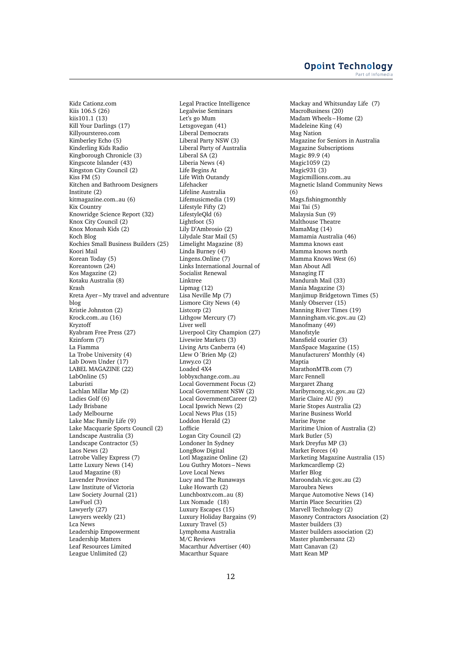Kidz Cationz.com Kiis 106.5 (26) kiis101.1 (13) Kill Your Darlings (17) Killyourstereo.com Kimberley Echo (5) Kinderling Kids Radio Kingborough Chronicle (3) Kingscote Islander (43) Kingston City Council (2)  $KisS$  FM  $(5)$ Kitchen and Bathroom Designers Institute (2) kitmagazine.com..au (6) Kix Country Knowridge Science Report (32) Knox City Council (2) Knox Monash Kids (2) Koch Blog Kochies Small Business Builders (25) Koori Mail Korean Today (5) Koreantown (24) Kos Magazine (2) Kotaku Australia (8) Krash Kreta Ayer – My travel and adventure blog Kristie Johnston (2) Krock.com..au (16) Kryztoff Kyabram Free Press (27) Kzinform (7) La Fiamma La Trobe University (4) Lab Down Under (17) LABEL MAGAZINE (22) LabOnline (5) Laburisti Lachlan Millar Mp (2) Ladies Golf (6) Lady Brisbane Lady Melbourne Lake Mac Family Life (9) Lake Macquarie Sports Council (2) Landscape Australia (3) Landscape Contractor (5) Laos News (2) Latrobe Valley Express (7) Latte Luxury News (14) Laud Magazine (8) Lavender Province Law Institute of Victoria Law Society Journal (21) LawFuel (3) Lawyerly (27) Lawyers weekly (21) Lca News Leadership Empowerment Leadership Matters Leaf Resources Limited League Unlimited (2)

Legal Practice Intelligence Legalwise Seminars Let's go Mum Letsgovegan (41) Liberal Democrats Liberal Party NSW (3) Liberal Party of Australia Liberal SA (2) Liberia News (4) Life Begins At Life With Outandy Lifehacker Lifeline Australia Lifemusicmedia (19) Lifestyle Fifty (2) LifestyleQld (6) Lightfoot (5) Lily D'Ambrosio (2) Lilydale Star Mail (5) Limelight Magazine (8) Linda Burney (4) Lingens.Online (7) Links International Journal of Socialist Renewal Linktree Lipmag (12) Lisa Neville Mp (7) Lismore City News (4) Listcorp (2) Lithgow Mercury (7) Liver well Liverpool City Champion (27) Livewire Markets (3) Living Arts Canberra (4) Llew O´Brien Mp (2) Lnwy.co (2) Loaded 4X4 lobbyxchange.com..au Local Government Focus (2) Local Government NSW (2) Local GovernmentCareer (2) Local Ipswich News (2) Local News Plus (15) Loddon Herald (2) Lofficie Logan City Council (2) Londoner In Sydney LongBow Digital Lotl Magazine Online (2) Lou Guthry Motors – News Love Local News Lucy and The Runaways Luke Howarth (2) Lunchboxtv.com..au (8) Lux Nomade (18) Luxury Escapes (15) Luxury Holiday Bargains (9) Luxury Travel (5) Lymphoma Australia M/C Reviews Macarthur Advertiser (40) Macarthur Square

Mackay and Whitsunday Life (7) MacroBusiness (20) Madam Wheels – Home (2) Madeleine King (4) Mag Nation Magazine for Seniors in Australia Magazine Subscriptions Magic 89.9 (4) Magic1059 (2) Magic931 (3) Magicmillions.com..au Magnetic Island Community News (6) Mags.fishingmonthly Mai Tai (5) Malaysia Sun (9) Malthouse Theatre MamaMag (14) Mamamia Australia (46) Mamma knows east Mamma knows north Mamma Knows West (6) Man About Adl Managing IT Mandurah Mail (33) Mania Magazine (3) Manjimup Bridgetown Times (5) Manly Observer (15) Manning River Times (19) Manningham.vic.gov..au (2) Manofmany (49) Manofstyle Mansfield courier (3) ManSpace Magazine (15) Manufacturers' Monthly (4) Maptia MarathonMTB.com (7) Marc Fennell Margaret Zhang Maribyrnong.vic.gov..au (2) Marie Claire AU (9) Marie Stopes Australia (2) Marine Business World Marise Payne Maritime Union of Australia (2) Mark Butler (5) Mark Dreyfus MP (3) Market Forces (4) Marketing Magazine Australia (15) Markmcardlemp (2) Marler Blog Maroondah.vic.gov..au (2) Maroubra News Marque Automotive News (14) Martin Place Securities (2) Marvell Technology (2) Masonry Contractors Association (2) Master builders (3) Master builders association (2) Master plumbersanz (2) Matt Canavan (2) Matt Kean MP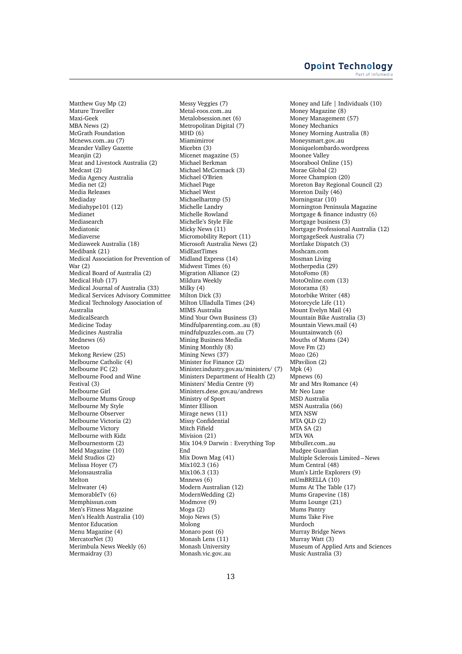Matthew Guy Mp (2) Mature Traveller Maxi-Geek MBA News (2) McGrath Foundation Mcnews.com..au (7) Meander Valley Gazette Meaniin (2) Meat and Livestock Australia (2) Medcast (2) Media Agency Australia Media net (2) Media Releases Mediaday Mediahype101 (12) Medianet Mediasearch Mediatonic Mediaverse Mediaweek Australia (18) Medibank (21) Medical Association for Prevention of War (2) Medical Board of Australia (2) Medical Hub (17) Medical Journal of Australia (33) Medical Services Advisory Committee Medical Technology Association of Australia MedicalSearch Medicine Today Medicines Australia Mednews (6) Meetoo Mekong Review (25) Melbourne Catholic (4) Melbourne FC (2) Melbourne Food and Wine Festival (3) Melbourne Girl Melbourne Mums Group Melbourne My Style Melbourne Observer Melbourne Victoria (2) Melbourne Victory Melbourne with Kidz Melbournestorm (2) Meld Magazine (10) Meld Studios (2) Melissa Hoyer (7) Melonsaustralia Melton Meltwater (4) MemorableTv (6) Memphissun.com Men's Fitness Magazine Men's Health Australia (10) Mentor Education Menu Magazine (4) MercatorNet (3) Merimbula News Weekly (6) Mermaidray (3)

Messy Veggies (7) Metal-roos.com..au Metalobsession.net (6) Metropolitan Digital (7) MHD (6) Miamimirror Micebtn (3) Micenet magazine (5) Michael Berkman Michael McCormack (3) Michael O'Brien Michael Page Michael West Michaelhartmp (5) Michelle Landry Michelle Rowland Michelle's Style File Micky News (11) Micromobility Report (11) Microsoft Australia News (2) MidEastTimes Midland Express (14) Midwest Times (6) Migration Alliance (2) Mildura Weekly Milky (4) Milton Dick (3) Milton Ulladulla Times (24) MIMS Australia Mind Your Own Business (3) Mindfulparenting.com..au (8) mindfulpuzzles.com..au (7) Mining Business Media Mining Monthly (8) Mining News (37) Minister for Finance (2) Minister.industry.gov.au/ministers/ (7) Ministers Department of Health (2) Ministers' Media Centre (9) Ministers.dese.gov.au/andrews Ministry of Sport Minter Ellison Mirage news (11) Missy Confidential Mitch Fifield Mivision (21) Mix 104.9 Darwin : Everything Top End Mix Down Mag (41) Mix102.3 (16) Mix106.3 (13) Mnnews (6) Modern Australian (12) ModernWedding (2) Modmove (9) Moga (2) Mojo News (5) Molong Monaro post (6) Monash Lens (11) Monash University Monash.vic.gov..au

Money and Life | Individuals (10) Money Magazine (8) Money Management (57) Money Mechanics Money Morning Australia (8) Moneysmart.gov..au Moniquelombardo.wordpress Moonee Valley Moorabool Online (15) Morae Global (2) Moree Champion (20) Moreton Bay Regional Council (2) Moreton Daily (46) Morningstar (10) Mornington Peninsula Magazine Mortgage & finance industry (6) Mortgage business (3) Mortgage Professional Australia (12) MortgageSeek Australia (7) Mortlake Dispatch (3) Moshcam.com Mosman Living Motherpedia (29) MotoFomo (8) MotoOnline.com (13) Motorama (8) Motorbike Writer (48) Motorcycle Life (11) Mount Evelyn Mail (4) Mountain Bike Australia (3) Mountain Views.mail (4) Mountainwatch (6) Mouths of Mums (24) Move Fm (2) Mozo (26) MPavilion (2) Mpk (4) Mpnews (6) Mr and Mrs Romance (4) Mr Neo Luxe MSD Australia MSN Australia (66) MTA NSW MTA QLD (2) MTA SA (2) MTA WA Mtbuller.com..au Mudgee Guardian Multiple Sclerosis Limited – News Mum Central (48) Mum's Little Explorers (9) mUmBRELLA (10) Mums At The Table (17) Mums Grapevine (18) Mums Lounge (21) Mums Pantry Mums Take Five Murdoch Murray Bridge News Murray Watt<sup>(3)</sup> Museum of Applied Arts and Sciences Music Australia (3)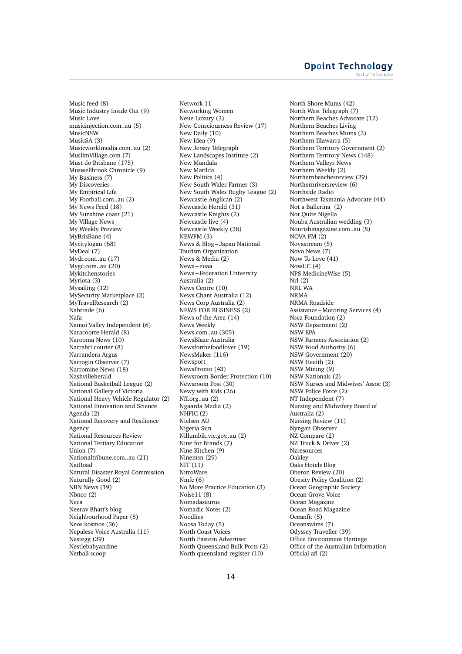Music feed (8) Music Industry Inside Out (9) Music Love musicinjection.com..au (5) MusicNSW MusicSA (3) Musicworldmedia.com..au (2) MuslimVillage.com (7) Must do Brisbane (175) Muswellbrook Chronicle (9) My Business (7) My Discoveries My Empirical Life My Football.com..au (2) My News Feed (18) My Sunshine coast (21) My Village News My Weekly Preview MyBrisBane (4) Mycitylogan (68) MyDeal (7) Mydr.com..au (17) Mygc.com..au (20) Mykitchenstories Myriota (3) Mysailing (12) MySecurity Marketplace (2) MyTravelResearch (2) Nabtrade (6) Nafa Namoi Valley Independent (6) Naracoorte Herald (8) Narooma News (10) Narrabri courier (8) Narrandera Argus Narrogin Observer (7) Narromine News (18) Nashvilleherald National Basketball League (2) National Gallery of Victoria National Heavy Vehicle Regulator (2) National Innovation and Science Agenda (2) National Recovery and Resilience Agency National Resources Review National Tertiary Education Union (7) Nationaltribune.com..au (21) NatRoad Natural Disaster Royal Commission Naturally Good (2) NBN News (19) Nbnco (2) Neca Neerav Bhatt's blog Neighbourhood Paper (8) Neos kosmos (36) Nepalese Voice Australia (11) Nestegg (39) Nestlebabyandme Netball scoop

Network 11 Networking Women Neue Luxury (3) New Consciousness Review (17) New Daily (10) New Idea (9) New Jersey Telegraph New Landscapes Institute (2) New Mandala New Matilda New Politics (4) New South Wales Farmer (3) New South Wales Rugby League (2) Newcastle Anglican (2) Newcastle Herald (31) Newcastle Knights (2) Newcastle live (4) Newcastle Weekly (38) NEWFM (3) News & Blog – Japan National Tourism Organization News & Media (2) News – euaa News – Federation University Australia (2) News Centre (10) News Chant Australia (12) News Corp Australia (2) NEWS FOR BUSINESS (2) News of the Area (14) News Weekly News.com..au (305) NewsBlaze Australia Newsforthefoodlover (19) NewsMaker (116) Newsport NewsPronto (43) Newsroom Border Protection (10) Newsroom Post (30) Newy with Kids (26) Nff.org..au (2) Ngaarda Media (2) NHFIC (2) Nielsen AU Nigeria Sun Nillumbik.vic.gov..au (2) Nine for Brands (7) Nine Kitchen (9) Ninemsn (29) NIT (11) NitroWare Nmfc (6) No More Practice Education (3) Noise11 (8) Nomadasaurus Nomadic Notes (2) Noodlies Noosa Today (5) North Coast Voices North Eastern Advertiser North Queensland Bulk Ports (2) North queensland register (10)

North Shore Mums (42) North West Telegraph (7) Northern Beaches Advocate (12) Northern Beaches Living Northern Beaches Mums (3) Northern Illawarra (5) Northern Territory Government (2) Northern Territory News (148) Northern Valleys News Northern Weekly (2) Northernbeachesreview (29) Northernriversreview (6) Northside Radio Northwest Tasmania Advocate (44) Not a Ballerina (2) Not Quite Nigella Nouba Australian wedding (3) Nourishmagazine.com..au (8) NOVA FM (2) Novastream (5) Novo News (7) Now To Love (41) NowUC (4) NPS MedicineWise (5) Nrl (2) NRL WA NRMA NRMA Roadside Assistance – Motoring Services (4) Nsca Foundation (2) NSW Department (2) NSW EPA NSW Farmers Association (2) NSW Food Authority (6) NSW Government (20) NSW Health (2) NSW Mining (9) NSW Nationals (2) NSW Nurses and Midwives' Assoc (3) NSW Police Force (2) NT Independent (7) Nursing and Midwifery Board of Australia (2) Nursing Review (11) Nyngan Observer NZ Compare (2) NZ Truck & Driver (2) Nzresources Oakley Oaks Hotels Blog Oberon Review (20) Obesity Policy Coalition (2) Ocean Geographic Society Ocean Grove Voice Ocean Magazine Ocean Road Magazine Oceanfit (5) Oceanswims (7) Odyssey Traveller (39) Office Environment Heritage Office of the Australian Information Official afl (2)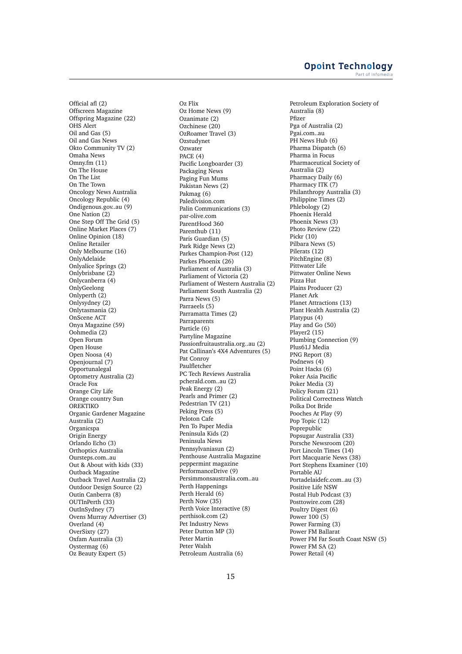Official afl (2) Offscreen Magazine Offspring Magazine (22) OHS Alert Oil and Gas (5) Oil and Gas News Okto Community TV (2) Omaha News Omny.fm (11) On The House On The List On The Town Oncology News Australia Oncology Republic (4) Ondigenous.gov..au (9) One Nation (2) One Step Off The Grid (5) Online Market Places (7) Online Opinion (18) Online Retailer Only Melbourne (16) OnlyAdelaide Onlyalice Springs (2) Onlybrisbane (2) Onlycanberra (4) OnlyGeelong Onlyperth (2) Onlysydney (2) Onlytasmania (2) OnScene ACT Onya Magazine (59) Oohmedia (2) Open Forum Open House Open Noosa (4) Openjournal (7) Opportunalegal Optometry Australia (2) Oracle Fox Orange City Life Orange country Sun **OREKTIKO** Organic Gardener Magazine Australia (2) Organicspa Origin Energy Orlando Echo (3) Orthoptics Australia Oursteps.com..au Out & About with kids (33) Outback Magazine Outback Travel Australia (2) Outdoor Design Source (2) Outin Canberra (8) OUTInPerth (33) OutInSydney (7) Ovens Murray Advertiser (3) Overland (4) OverSixty (27) Oxfam Australia (3) Oystermag (6) Oz Beauty Expert (5)

Oz Flix Oz Home News (9) Ozanimate (2) Ozchinese (20) OzRoamer Travel (3) Ozstudynet Ozwater PACE  $(4)$ Pacific Longboarder (3) Packaging News Paging Fun Mums Pakistan News (2) Pakmag (6) Paledivision.com Palin Communications (3) par-olive.com ParentHood 360 Parenthub (11) Paris Guardian (5) Park Ridge News (2) Parkes Champion-Post (12) Parkes Phoenix (26) Parliament of Australia (3) Parliament of Victoria (2) Parliament of Western Australia (2) Parliament South Australia (2) Parra News (5) Parraeels (5) Parramatta Times (2) **Parraparents** Particle (6) Partyline Magazine Passionfruitaustralia.org..au (2) Pat Callinan's 4X4 Adventures (5) Pat Conroy Paulfletcher PC Tech Reviews Australia pcherald.com..au (2) Peak Energy (2) Pearls and Primer (2) Pedestrian TV (21) Peking Press (5) Peloton Cafe Pen To Paper Media Peninsula Kids (2) Peninsula News Pennsylvaniasun (2) Penthouse Australia Magazine peppermint magazine PerformanceDrive (9) Persimmonsaustralia.com..au Perth Happenings Perth Herald (6) Perth Now (35) Perth Voice Interactive (8) perthisok.com (2) Pet Industry News Peter Dutton MP (3) Peter Martin Peter Walsh Petroleum Australia (6)

Petroleum Exploration Society of Australia (8) Pfizer Pga of Australia (2) Pgai.com..au PH News Hub (6) Pharma Dispatch (6) Pharma in Focus Pharmaceutical Society of Australia (2) Pharmacy Daily (6) Pharmacy ITK (7) Philanthropy Australia (3) Philippine Times (2) Phlebology (2) Phoenix Herald Phoenix News (3) Photo Review (22) Pickr (10) Pilbara News (5) Pilerats (12) PitchEngine (8) Pittwater Life Pittwater Online News Pizza Hut Plains Producer (2) Planet Ark Planet Attractions (13) Plant Health Australia (2) Platypus (4) Play and Go (50) Player2 (15) Plumbing Connection (9) Plus61J Media PNG Report (8) Podnews (4) Point Hacks (6) Poker Asia Pacific Poker Media (3) Policy Forum (21) Political Correctness Watch Polka Dot Bride Pooches At Play (9) Pop Topic (12) Poprepublic Popsugar Australia (33) Porsche Newsroom (20) Port Lincoln Times (14) Port Macquarie News (38) Port Stephens Examiner (10) Portable AU Portadelaidefc.com..au (3) Positive Life NSW Postal Hub Podcast (3) Posttowire.com (28) Poultry Digest (6) Power 100 (5) Power Farming (3) Power FM Ballarat Power FM Far South Coast NSW (5) Power FM SA (2) Power Retail (4)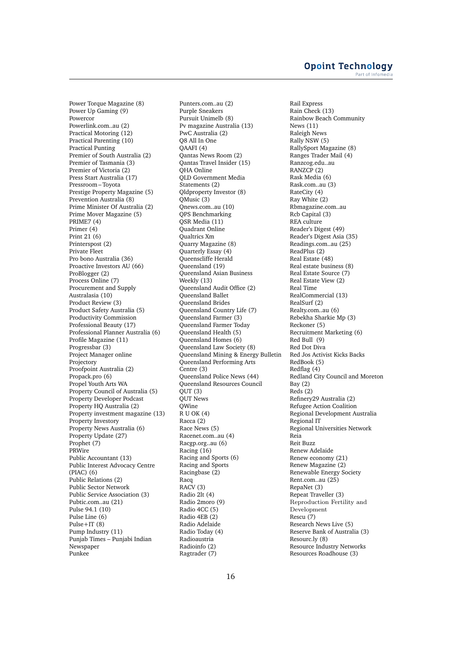Power Torque Magazine (8) Power Up Gaming (9) **Powercor** Powerlink.com..au (2) Practical Motoring (12) Practical Parenting (10) Practical Punting Premier of South Australia (2) Premier of Tasmania (3) Premier of Victoria (2) Press Start Australia (17) Pressroom – Toyota Prestige Property Magazine (5) Prevention Australia (8) Prime Minister Of Australia (2) Prime Mover Magazine (5) PRIME7 (4) Primer (4) Print 21 (6) Printerspost (2) Private Fleet Pro bono Australia (36) Proactive Investors AU (66) ProBlogger (2) Process Online (7) Procurement and Supply Australasia (10) Product Review (3) Product Safety Australia (5) Productivity Commission Professional Beauty (17) Professional Planner Australia (6) Profile Magazine (11) Progressbar (3) Project Manager online Projectory Proofpoint Australia (2) Propack.pro (6) Propel Youth Arts WA Property Council of Australia (5) Property Developer Podcast Property HQ Australia (2) Property investment magazine (13) Property Investory Property News Australia (6) Property Update (27) Prophet (7) PRWire Public Accountant (13) Public Interest Advocacy Centre (PIAC) (6) Public Relations (2) Public Sector Network Public Service Association (3) Pubtic.com..au (21) Pulse 94.1 (10) Pulse Line (6) Pulse+IT (8) Pump Industry (11) Punjab Times – Punjabi Indian Newspaper Punkee

Punters.com..au (2) Purple Sneakers Pursuit Unimelb (8) Pv magazine Australia (13) PwC Australia (2) Q8 All In One QAAFI (4) Qantas News Room (2) Qantas Travel Insider (15) QHA Online QLD Government Media Statements (2) Qldproperty Investor (8) QMusic (3) Qnews.com..au (10) QPS Benchmarking QSR Media (11) Quadrant Online Qualtrics Xm Quarry Magazine (8) Quarterly Essay (4) Queenscliffe Herald Queensland (19) Queensland Asian Business Weekly (13) Queensland Audit Office (2) Queensland Ballet Queensland Brides Queensland Country Life (7) Queensland Farmer (3) Queensland Farmer Today Queensland Health (5) Queensland Homes (6) Queensland Law Society (8) Queensland Mining & Energy Bulletin Queensland Performing Arts Centre (3) Queensland Police News (44) Queensland Resources Council  $Q$ UT  $(3)$ QUT News QWine  $R$  U OK (4) Racca (2) Race News (5) Racenet.com..au (4) Racgp.org..au (6) Racing (16) Racing and Sports (6) Racing and Sports Racingbase (2) Racq RACV (3) Radio 2lt (4) Radio 2moro (9) Radio 4CC (5) Radio 4EB (2) Radio Adelaide Radio Today (4) Radioaustria Radioinfo (2) Ragtrader (7)

Rail Express Rain Check (13) Rainbow Beach Community News (11) Raleigh News Rally NSW (5) RallySport Magazine (8) Ranges Trader Mail (4) Ranzcog.edu..au RANZCP (2) Rask Media (6) Rask.com..au (3) RateCity (4) Ray White (2) Rbmagazine.com..au Rcb Capital (3) REA culture Reader's Digest (49) Reader's Digest Asia (35) Readings.com..au (25) ReadPlus (2) Real Estate (48) Real estate business (8) Real Estate Source (7) Real Estate View (2) Real Time RealCommercial (13) RealSurf (2) Realty.com..au (6) Rebekha Sharkie Mp (3) Reckoner (5) Recruitment Marketing (6) Red Bull (9) Red Dot Diva Red Jos Activist Kicks Backs RedBook (5) Redflag (4) Redland City Council and Moreton Bay $(2)$ Reds (2) Refinery29 Australia (2) Refugee Action Coalition Regional Development Australia Regional IT Regional Universities Network Reia Reit Buzz Renew Adelaide Renew economy (21) Renew Magazine (2) Renewable Energy Society Rent.com..au (25) RepaNet (3) Repeat Traveller (3) Reproduction Fertility and Development Rescu (7) Research News Live (5) Reserve Bank of Australia (3) Resourc.ly (8) Resource Industry Networks Resources Roadhouse (3)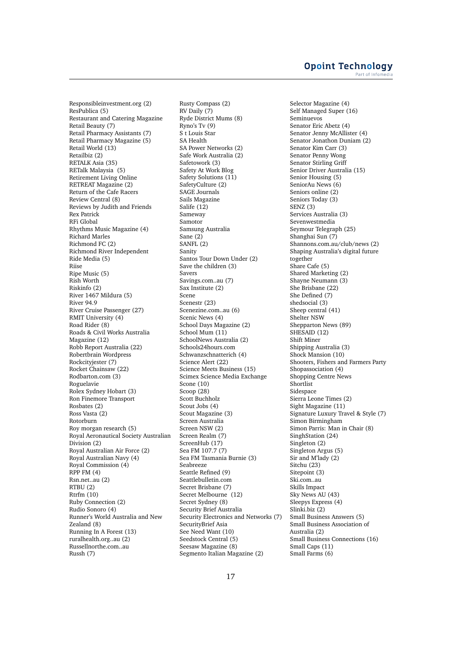Responsibleinvestment.org (2) ResPublica (5) Restaurant and Catering Magazine Retail Beauty (7) Retail Pharmacy Assistants (7) Retail Pharmacy Magazine (5) Retail World (13) Retailbiz (2) RETALK Asia (35) RETalk Malaysia (5) Retirement Living Online RETREAT Magazine (2) Return of the Cafe Racers Review Central (8) Reviews by Judith and Friends Rex Patrick RFi Global Rhythms Music Magazine (4) Richard Marles Richmond FC (2) Richmond River Independent Ride Media (5) Riise Ripe Music (5) Rish Worth Riskinfo (2) River 1467 Mildura (5) River 94.9 River Cruise Passenger (27) RMIT University (4) Road Rider (8) Roads & Civil Works Australia Magazine (12) Robb Report Australia (22) Robertbrain Wordpress Rockcityjester (7) Rocket Chainsaw (22) Rodbarton.com (3) Roguelavie Rolex Sydney Hobart (3) Ron Finemore Transport Rosbates (2) Ross Vasta (2) Rotorburn Roy morgan research (5) Royal Aeronautical Society Australian Division (2) Royal Australian Air Force (2) Royal Australian Navy (4) Royal Commission (4) RPP FM (4) Rsn.net..au (2) RTBU (2) Rtrfm (10) Ruby Connection (2) Rudio Sonoro (4) Runner's World Australia and New Zealand (8) Running In A Forest (13) ruralhealth.org..au (2) Russellnorthe.com..au Russh (7)

Rusty Compass (2) RV Daily (7) Ryde District Mums (8) Ryno's Tv (9) S t Louis Star SA Health SA Power Networks (2) Safe Work Australia (2) Safetowork (3) Safety At Work Blog Safety Solutions (11) SafetyCulture (2) SAGE Journals Sails Magazine Salife (12) Sameway Samotor Samsung Australia Sane (2) SANFL (2) Sanity Santos Tour Down Under (2) Save the children (3) Savers Savings.com..au (7) Sax Institute (2) Scene Scenestr (23) Scenezine.com..au (6) Scenic News (4) School Days Magazine (2) School Mum (11) SchoolNews Australia (2) Schools24hours.com Schwanzschnatterich (4) Science Alert (22) Science Meets Business (15) Scimex Science Media Exchange Scone (10) Scoop (28) Scott Buchholz Scout Jobs (4) Scout Magazine (3) Screen Australia Screen NSW (2) Screen Realm (7) ScreenHub (17) Sea FM 107.7 (7) Sea FM Tasmania Burnie (3) Seabreeze Seattle Refined (9) Seattlebulletin.com Secret Brisbane (7) Secret Melbourne (12) Secret Sydney (8) Security Brief Australia Security Electronics and Networks (7) SecurityBrief Asia See Need Want (10) Seedstock Central (5) Seesaw Magazine (8) Segmento Italian Magazine (2)

Selector Magazine (4) Self Managed Super (16) Seminuevos Senator Eric Abetz (4) Senator Jenny McAllister (4) Senator Jonathon Duniam (2) Senator Kim Carr (3) Senator Penny Wong Senator Stirling Griff Senior Driver Australia (15) Senior Housing (5) SeniorAu News (6) Seniors online (2) Seniors Today (3) SENZ (3) Services Australia (3) Sevenwestmedia Seymour Telegraph (25) Shanghai Sun (7) Shannons.com.au/club/news (2) Shaping Australia's digital future together Share Cafe (5) Shared Marketing (2) Shayne Neumann (3) She Brisbane (22) She Defined (7) shedsocial (3) Sheep central (41) Shelter NSW Shepparton News (89) SHESAID (12) Shift Miner Shipping Australia (3) Shock Mansion (10) Shooters, Fishers and Farmers Party Shopassociation (4) Shopping Centre News Shortlist Sidespace Sierra Leone Times (2) Sight Magazine (11) Signature Luxury Travel & Style (7) Simon Birmingham Simon Parris: Man in Chair (8) SinghStation (24) Singleton (2) Singleton Argus (5) Sir and M'lady (2) Sitchu (23) Sitepoint (3) Ski.com..au Skills Impact Sky News AU (43) Sleepys Express (4) Slinki.biz (2) Small Business Answers (5) Small Business Association of Australia (2) Small Business Connections (16) Small Caps (11) Small Farms (6)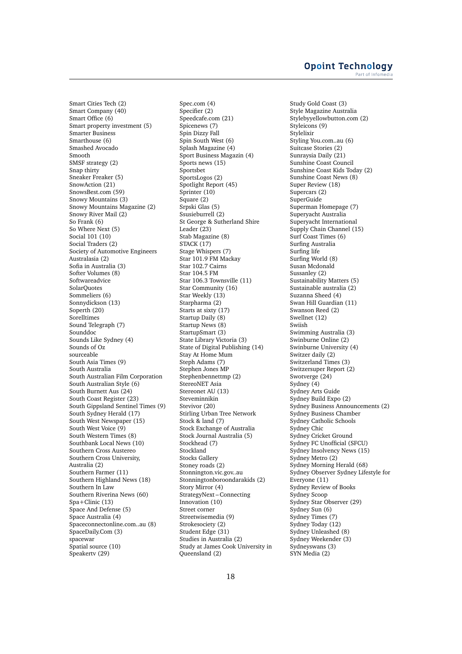Smart Cities Tech (2) Smart Company (40) Smart Office (6) Smart property investment (5) Smarter Business Smarthouse (6) Smashed Avocado Smooth SMSF strategy (2) Snap thirty Sneaker Freaker (5) SnowAction (21) SnowsBest.com (59) Snowy Mountains (3) Snowy Mountains Magazine (2) Snowy River Mail (2) So Frank (6) So Where Next (5) Social 101 (10) Social Traders (2) Society of Automotive Engineers Australasia (2) Sofia in Australia (3) Softer Volumes (8) Softwareadvice **SolarOuotes** Sommeliers (6) Sonnydickson (13) Soperth (20) Sorelltimes Sound Telegraph (7) Sounddoc Sounds Like Sydney (4) Sounds of Oz sourceable South Asia Times (9) South Australia South Australian Film Corporation South Australian Style (6) South Burnett Aus (24) South Coast Register (23) South Gippsland Sentinel Times (9) South Sydney Herald (17) South West Newspaper (15) South West Voice (9) South Western Times (8) Southbank Local News (10) Southern Cross Austereo Southern Cross University, Australia (2) Southern Farmer (11) Southern Highland News (18) Southern In Law Southern Riverina News (60) Spa+Clinic (13) Space And Defense (5) Space Australia (4) Spaceconnectonline.com..au (8) SpaceDaily.Com (3) spacewar Spatial source (10) Speakertv (29)

Spec.com (4) Specifier (2) Speedcafe.com (21) Spicenews (7) Spin Dizzy Fall Spin South West (6) Splash Magazine (4) Sport Business Magazin (4) Sports news (15) Sportsbet SportsLogos (2) Spotlight Report (45) Sprinter (10) Square (2) Srpski Glas (5) Ssusieburrell (2) St George & Sutherland Shire Leader  $(23)$ Stab Magazine (8) STACK (17) Stage Whispers (7) Star 101.9 FM Mackay Star 102.7 Cairns Star 104.5 FM Star 106.3 Townsville (11) Star Community (16) Star Weekly (13) Starpharma (2) Starts at sixty (17) Startup Daily (8) Startup News (8) StartupSmart (3) State Library Victoria (3) State of Digital Publishing (14) Stay At Home Mum Steph Adams (7) Stephen Jones MP Stephenbennettmp (2) StereoNET Asia Stereonet AU (13) Steveminnikin Stevivor (20) Stirling Urban Tree Network Stock & land (7) Stock Exchange of Australia Stock Journal Australia (5) Stockhead (7) Stockland Stocks Gallery Stoney roads (2) Stonnington.vic.gov..au Stonningtonboroondarakids (2) Story Mirror (4) StrategyNext – Connecting Innovation (10) Street corner Streetwisemedia (9) Strokesociety (2) Student Edge (31) Studies in Australia (2) Study at James Cook University in Queensland (2)

Study Gold Coast (3) Style Magazine Australia Stylebyyellowbutton.com (2) Styleicons (9) Stylelixir Styling You.com..au (6) Suitcase Stories (2) Sunraysia Daily (21) Sunshine Coast Council Sunshine Coast Kids Today (2) Sunshine Coast News (8) Super Review (18) Supercars (2) SuperGuide Superman Homepage (7) Superyacht Australia Superyacht International Supply Chain Channel (15) Surf Coast Times (6) Surfing Australia Surfing life Surfing World (8) Susan Mcdonald Sussanley (2) Sustainability Matters (5) Sustainable australia (2) Suzanna Sheed (4) Swan Hill Guardian (11) Swanson Reed (2) Swellnet (12) Swiish Swimming Australia (3) Swinburne Online (2) Swinburne University (4) Switzer daily (2) Switzerland Times (3) Switzersuper Report (2) Swotverge (24) Sydney (4) Sydney Arts Guide Sydney Build Expo (2) Sydney Business Announcements (2) Sydney Business Chamber Sydney Catholic Schools Sydney Chic Sydney Cricket Ground Sydney FC Unofficial (SFCU) Sydney Insolvency News (15) Sydney Metro (2) Sydney Morning Herald (68) Sydney Observer Sydney Lifestyle for Everyone (11) Sydney Review of Books Sydney Scoop Sydney Star Observer (29) Sydney Sun (6) Sydney Times (7) Sydney Today (12) Sydney Unleashed (8) Sydney Weekender (3) Sydneyswans (3) SYN Media (2)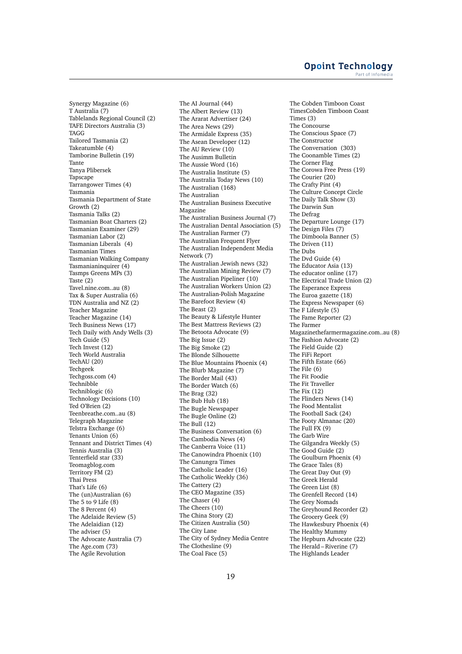Synergy Magazine (6) T Australia (7) Tablelands Regional Council (2) TAFE Directors Australia (3) **TAGG** Tailored Tasmania (2) Takeatumble (4) Tamborine Bulletin (19) Tante Tanya Plibersek Tapscape Tarrangower Times (4) Tasmania Tasmania Department of State Growth (2) Tasmania Talks (2) Tasmanian Boat Charters (2) Tasmanian Examiner (29) Tasmanian Labor (2) Tasmanian Liberals (4) Tasmanian Times Tasmanian Walking Company Tasmanianinquirer (4) Tasmps Greens MPs (3) Taste (2) Tavel.nine.com..au (8) Tax & Super Australia (6) TDN Australia and NZ (2) Teacher Magazine Teacher Magazine (14) Tech Business News (17) Tech Daily with Andy Wells (3) Tech Guide (5) Tech Invest (12) Tech World Australia TechAU (20) Techgeek Techgoss.com (4) Technibble Techniblogic (6) Technology Decisions (10) Ted O'Brien (2) Teenbreathe.com..au (8) Telegraph Magazine Telstra Exchange (6) Tenants Union (6) Tennant and District Times (4) Tennis Australia (3) Tenterfield star (33) Teomagblog.com Territory FM (2) Thai Press That's Life (6) The (un)Australian (6) The 5 to 9 Life (8) The 8 Percent (4) The Adelaide Review (5) The Adelaidian (12) The adviser (5) The Advocate Australia (7) The Age.com (73) The Agile Revolution

The AI Journal (44) The Albert Review (13) The Ararat Advertiser (24) The Area News (29) The Armidale Express (35) The Asean Developer (12) The AU Review (10) The Ausimm Bulletin The Aussie Word (16) The Australia Institute (5) The Australia Today News (10) The Australian (168) The Australian The Australian Business Executive Magazine The Australian Business Journal (7) The Australian Dental Association (5) The Australian Farmer (7) The Australian Frequent Flyer The Australian Independent Media Network (7) The Australian Jewish news (32) The Australian Mining Review (7) The Australian Pipeliner (10) The Australian Workers Union (2) The Australian-Polish Magazine The Barefoot Review (4) The Beast (2) The Beauty & Lifestyle Hunter The Best Mattress Reviews (2) The Betoota Advocate (9) The Big Issue (2) The Big Smoke (2) The Blonde Silhouette The Blue Mountains Phoenix (4) The Blurb Magazine (7) The Border Mail (43) The Border Watch (6) The Brag (32) The Bub Hub (18) The Bugle Newspaper The Bugle Online (2) The Bull (12) The Business Conversation (6) The Cambodia News (4) The Canberra Voice (11) The Canowindra Phoenix (10) The Canungra Times The Catholic Leader (16) The Catholic Weekly (36) The Cattery (2) The CEO Magazine (35) The Chaser (4) The Cheers (10) The China Story (2) The Citizen Australia (50) The City Lane The City of Sydney Media Centre The Clothesline (9) The Coal Face (5)

The Cobden Timboon Coast TimesCobden Timboon Coast Times (3) The Concourse The Conscious Space (7) The Constructor The Conversation (303) The Coonamble Times (2) The Corner Flag The Corowa Free Press (19) The Courier (20) The Crafty Pint (4) The Culture Concept Circle The Daily Talk Show (3) The Darwin Sun The Defrag The Departure Lounge (17) The Design Files (7) The Dimboola Banner (5) The Driven (11) The Dubs The Dvd Guide (4) The Educator Asia (13) The educator online (17) The Electrical Trade Union (2) The Esperance Express The Euroa gazette (18) The Express Newspaper (6) The F Lifestyle (5) The Fame Reporter (2) The Farmer Magazinethefarmermagazine.com..au (8) The Fashion Advocate (2) The Field Guide (2) The FiFi Report The Fifth Estate (66) The File (6) The Fit Foodie The Fit Traveller The Fix (12) The Flinders News (14) The Food Mentalist The Football Sack (24) The Footy Almanac (20) The Full FX (9) The Garb Wire The Gilgandra Weekly (5) The Good Guide (2) The Goulburn Phoenix (4) The Grace Tales (8) The Great Day Out (9) The Greek Herald The Green List (8) The Grenfell Record (14) The Grey Nomads The Greyhound Recorder (2) The Grocery Geek (9) The Hawkesbury Phoenix (4) The Healthy Mummy The Hepburn Advocate (22) The Herald – Riverine (7) The Highlands Leader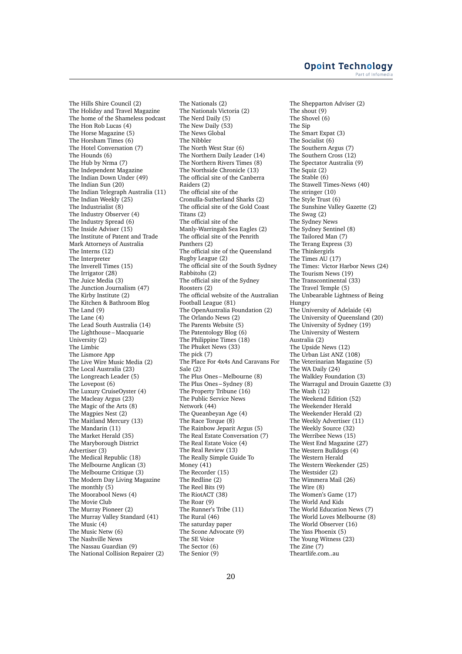The Hills Shire Council (2) The Holiday and Travel Magazine The home of the Shameless podcast The Hon Rob Lucas (4) The Horse Magazine (5) The Horsham Times (6) The Hotel Conversation (7) The Hounds (6) The Hub by Nrma (7) The Independent Magazine The Indian Down Under (49) The Indian Sun (20) The Indian Telegraph Australia (11) The Indian Weekly (25) The Industrialist (8) The Industry Observer (4) The Industry Spread (6) The Inside Adviser (15) The Institute of Patent and Trade Mark Attorneys of Australia The Interns  $(12)$ The Interpreter The Inverell Times (15) The Irrigator (28) The Juice Media (3) The Junction Journalism (47) The Kirby Institute (2) The Kitchen & Bathroom Blog The Land (9) The Lane (4) The Lead South Australia (14) The Lighthouse – Macquarie University (2) The Limbic The Lismore App The Live Wire Music Media (2) The Local Australia (23) The Longreach Leader (5) The Lovepost (6) The Luxury CruiseOyster (4) The Macleay Argus (23) The Magic of the Arts (8) The Magpies Nest (2) The Maitland Mercury (13) The Mandarin (11) The Market Herald (35) The Maryborough District Advertiser (3) The Medical Republic (18) The Melbourne Anglican (3) The Melbourne Critique (3) The Modern Day Living Magazine The monthly (5) The Moorabool News (4) The Movie Club The Murray Pioneer (2) The Murray Valley Standard (41) The Music (4) The Music Netw (6) The Nashville News The Nassau Guardian (9) The National Collision Repairer (2)

The Nationals (2) The Nationals Victoria (2) The Nerd Daily (5) The New Daily (53) The News Global The Nibbler The North West Star (6) The Northern Daily Leader (14) The Northern Rivers Times (8) The Northside Chronicle (13) The official site of the Canberra Raiders (2) The official site of the Cronulla-Sutherland Sharks (2) The official site of the Gold Coast Titans (2) The official site of the Manly-Warringah Sea Eagles (2) The official site of the Penrith Panthers (2) The official site of the Queensland Rugby League (2) The official site of the South Sydney Rabbitohs (2) The official site of the Sydney Roosters (2) The official website of the Australian Football League (81) The OpenAustralia Foundation (2) The Orlando News (2) The Parents Website (5) The Patentology Blog (6) The Philippine Times (18) The Phuket News (33) The pick (7) The Place For 4x4s And Caravans For Sale (2) The Plus Ones – Melbourne (8) The Plus Ones – Sydney (8) The Property Tribune (16) The Public Service News Network (44) The Queanbeyan Age (4) The Race Torque (8) The Rainbow Jeparit Argus (5) The Real Estate Conversation (7) The Real Estate Voice (4) The Real Review (13) The Really Simple Guide To Money (41) The Recorder (15) The Redline (2) The Reel Bits (9) The RiotACT (38) The Roar (9) The Runner's Tribe (11) The Rural (46) The saturday paper The Scone Advocate (9) The SE Voice The Sector (6) The Senior (9)

The Shepparton Adviser (2) The shout (9) The Shovel (6) The Sip The Smart Expat (3) The Socialist (6) The Southern Argus (7) The Southern Cross (12) The Spectator Australia (9) The Squiz (2) The Stable (6) The Stawell Times-News (40) The stringer (10) The Style Trust (6) The Sunshine Valley Gazette (2) The Swag (2) The Sydney News The Sydney Sentinel (8) The Tailored Man (7) The Terang Express (3) The Thinkergirls The Times AU (17) The Times: Victor Harbor News (24) The Tourism News (19) The Transcontinental (33) The Travel Temple (5) The Unbearable Lightness of Being Hungry The University of Adelaide (4) The University of Queensland (20) The University of Sydney (19) The University of Western Australia (2) The Upside News (12) The Urban List ANZ (108) The Veterinarian Magazine (5) The WA Daily (24) The Walkley Foundation (3) The Warragul and Drouin Gazette (3) The Wash (12) The Weekend Edition (52) The Weekender Herald The Weekender Herald (2) The Weekly Advertiser (11) The Weekly Source (32) The Werribee News (15) The West End Magazine (27) The Western Bulldogs (4) The Western Herald The Western Weekender (25) The Westsider (2) The Wimmera Mail (26) The Wire (8) The Women's Game (17) The World And Kids The World Education News (7) The World Loves Melbourne (8) The World Observer (16) The Yass Phoenix (5) The Young Witness (23) The Zine (7) Theartlife.com..au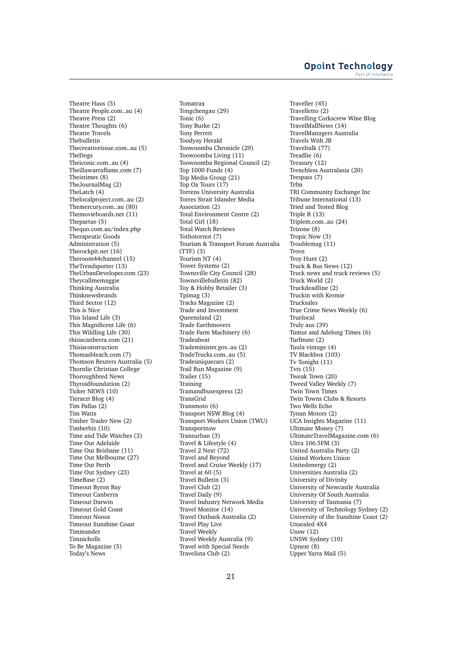Theatre Haus (5) Theatre People.com..au (4) Theatre Press (2) Theatre Thoughts (6) Theatre Travels Thebulletin Thecreativeissue.com..au (5) TheDogs Theiconic.com..au (4) Theillawarraflame.com (7) Theistimes (8) TheJournalMag (2) TheLatch (4) Thelocalproject.com..au (2) Themercury.com..au (80) Themovieboards.net (11) Thepartae (5) Thequo.com.au/index.php Therapeutic Goods Administration (5) Therockpit.net (16) Theroom44channel (15) TheTrendspotter (13) TheUrbanDeveloper.com (23) Theycallmemaggie Thinking Australia Thinknewsbrands Third Sector (12) This is Nice This Island Life (3) This Magnificent Life (6) This Wildling Life (30) thisiscanberra.com (21) Thisisconstruction Thomasbleach.com (7) Thomson Reuters Australia (5) Thornlie Christian College Thoroughbred News Thyroidfoundation (2) Ticker NEWS (10) Tierarzt Blog (4) Tim Pallas (2) Tim Watts Timber Trader New (2) Timberbiz (10) Time and Tide Watches (3) Time Out Adelaide Time Out Brisbane (11) Time Out Melbourne (27) Time Out Perth Time Out Sydney (23) TimeBase (2) Timeout Byron Bay Timeout Canberra Timeout Darwin Timeout Gold Coast Timeout Noosa Timeout Sunshine Coast Timmander Timnicholls To Be Magazine (5) Today's News

Tomatrax Tongchengau (29) Tonic (6) Tony Burke (2) Tony Perrett Toodyay Herald Toowoomba Chronicle (29) Toowoomba Living (11) Toowoomba Regional Council (2) Top 1000 Funds (4) Top Media Group (21) Top Oz Tours (17) Torrens University Australia Torres Strait Islander Media Association (2) Total Environment Centre (2) Total Girl (18) Total Watch Reviews Tothotornot (7) Tourism & Transport Forum Australia (TTF) (3) Tourism NT (4) Tower Systems (2) Townsville City Council (28) Townsvillebulletin (82) Toy & Hobby Retailer (3) Tpimag (3) Tracks Magazine (2) Trade and Investment Queensland (2) Trade Earthmovers Trade Farm Machinery (6) Tradeaboat Trademinister.gov..au (2) TradeTrucks.com..au (5) Tradeuniquecars (2) Trail Run Magazine (9) Trailer (15) Training Tramandbusexpress (2) TransGrid Transmoto (6) Transport NSW Blog (4) Transport Workers Union (TWU) Transportnsw Transurban (3) Travel & Lifestyle (4) Travel 2 Next (72) Travel and Beyond Travel and Cruise Weekly (17) Travel at 60 (5) Travel Bulletin (3) Travel Club (2) Travel Daily (9) Travel Industry Network Media Travel Monitor (14) Travel Outback Australia (2) Travel Play Live Travel Weekly Travel Weekly Australia (9) Travel with Special Needs Travelista Club (2)

Traveller (45) Travelletto (2) Travelling Corkscrew Wine Blog TravelMallNews (14) TravelManagers Australia Travels With JB Traveltalk (77) Treadlie (6) Treasury (12) Trenchless Australasia (20) Trespass (7) Trfm TRI Community Exchange Inc Tribune International (13) Tried and Tested Blog Triple R (13) Triplem.com..au (24) Trizone (8) Tropic Now (3) Troublemag (11) Trove Troy Hunt (2) Truck & Bus News (12) Truck news and truck reviews (5) Truck World (2) Truckdeadline (2) Truckin with Kermie Trucksales True Crime News Weekly (6) Truelocal Truly aus (39) Tumut and Adelong Times (6) Turfmate (2) Tuula vintage (4) TV Blackbox (103) Tv Tonight (11) Tvts (15) Tweak Town (20) Tweed Valley Weekly (7) Twin Town Times Twin Towns Clubs & Resorts Two Wells Echo Tynan Motors (2) UCA Insights Magazine (11) Ultimate Money (7) UltimateTravelMagazine.com (6) Ultra 106.5FM (3) United Australia Party (2) United Workers Union Unitedenergy (2) Universities Australia (2) University of Divinity University of Newcastle Australia University Of South Australia University of Tasmania (7) University of Technology Sydney (2) University of the Sunshine Coast (2) Unsealed 4X4 Unsw (12) UNSW Sydney (10) Upnext (8) Upper Yarra Mail (5)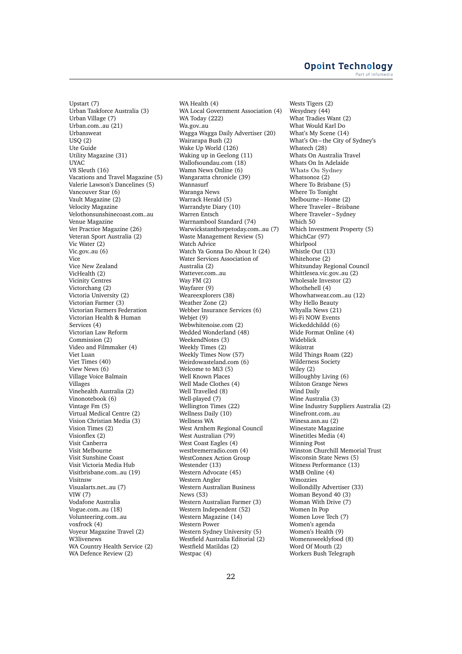Upstart (7) Urban Taskforce Australia (3) Urban Village (7) Urban.com..au (21) Urbansweat USQ (2) Ute Guide Utility Magazine (31) UYAC V8 Sleuth (16) Vacations and Travel Magazine (5) Valerie Lawson's Dancelines (5) Vancouver Star (6) Vault Magazine (2) Velocity Magazine Velothonsunshinecoast.com..au Venue Magazine Vet Practice Magazine (26) Veteran Sport Australia (2) Vic Water (2) Vic.gov..au (6) Vice Vice New Zealand VicHealth (2) Vicinity Centres Victorchang (2) Victoria University (2) Victorian Farmer (3) Victorian Farmers Federation Victorian Health & Human Services (4) Victorian Law Reform Commission (2) Video and Filmmaker (4) Viet Luan Viet Times (40) View News (6) Village Voice Balmain Villages Vinehealth Australia (2) Vinonotebook (6) Vintage Fm (5) Virtual Medical Centre (2) Vision Christian Media (3) Vision Times (2) Visionflex (2) Visit Canberra Visit Melbourne Visit Sunshine Coast Visit Victoria Media Hub Visitbrisbane.com..au (19) Visitnsw Visualarts.net..au (7) VIW (7) Vodafone Australia Vogue.com..au (18) Volunteering.com..au voxfrock (4) Voyeur Magazine Travel (2) W3livenews WA Country Health Service (2) WA Defence Review (2)

WA Health (4) WA Local Government Association (4) WA Today (222) Wa.gov..au Wagga Wagga Daily Advertiser (20) Wairarapa Bush (2) Wake Up World (126) Waking up in Geelong (11) Wallofsoundau.com (18) Wamn News Online (6) Wangaratta chronicle (39) Wannasurf Waranga News Warrack Herald (5) Warrandyte Diary (10) Warren Entsch Warrnambool Standard (74) Warwickstanthorpetoday.com..au (7) Waste Management Review (5) Watch Advice Watch Ya Gonna Do About It (24) Water Services Association of Australia (2) Wattever.com au Way FM (2) Wayfarer (9) Weareexplorers (38) Weather Zone (2) Webber Insurance Services (6) Webjet (9) Webwhitenoise.com (2) Wedded Wonderland (48) WeekendNotes (3) Weekly Times (2) Weekly Times Now (57) Weirdowasteland.com (6) Welcome to Mi3 (5) Well Known Places Well Made Clothes (4) Well Travelled (8) Well-played (7) Wellington Times (22) Wellness Daily (10) Wellness WA West Arnhem Regional Council West Australian (79) West Coast Eagles (4) westbremerradio.com (4) WestConnex Action Group Westender (13) Western Advocate (45) Western Angler Western Australian Business News (53) Western Australian Farmer (3) Western Independent (52) Western Magazine (14) Western Power Western Sydney University (5) Westfield Australia Editorial (2) Westfield Matildas (2) Westpac (4)

Wests Tigers (2) Wesydney (44) What Tradies Want (2) What Would Karl Do What's My Scene (14) What's On – the City of Sydney's Whatech (28) Whats On Australia Travel Whats On In Adelaide Whats On Sydney Whatsonoz $(2)$ Where To Brisbane (5) Where To Tonight Melbourne – Home (2) Where Traveler – Brisbane Where Traveler – Sydney Which 50 Which Investment Property (5) WhichCar (97) Whirlpool Whistle Out (13) Whitehorse (2) Whitsunday Regional Council Whittlesea.vic.gov..au (2) Wholesale Investor (2) Whothehell (4) Whowhatwear.com..au (12) Why Hello Beauty Whyalla News (21) Wi-Fi NOW Events Wickeddchildd (6) Wide Format Online (4) Wideblick Wikistrat Wild Things Roam (22) Wilderness Society Wiley (2) Willoughby Living (6) Wilston Grange News Wind Daily Wine Australia (3) Wine Industry Suppliers Australia (2) Winefront.com..au Winesa.asn.au (2) Winestate Magazine Winetitles Media (4) Winning Post Winston Churchill Memorial Trust Wisconsin State News (5) Witness Performance (13) WMB Online (4) Wmozzies Wollondilly Advertiser (33) Woman Beyond 40 (3) Woman With Drive (7) Women In Pop Women Love Tech (7) Women's agenda Women's Health (9) Womensweeklyfood (8) Word Of Mouth (2) Workers Bush Telegraph